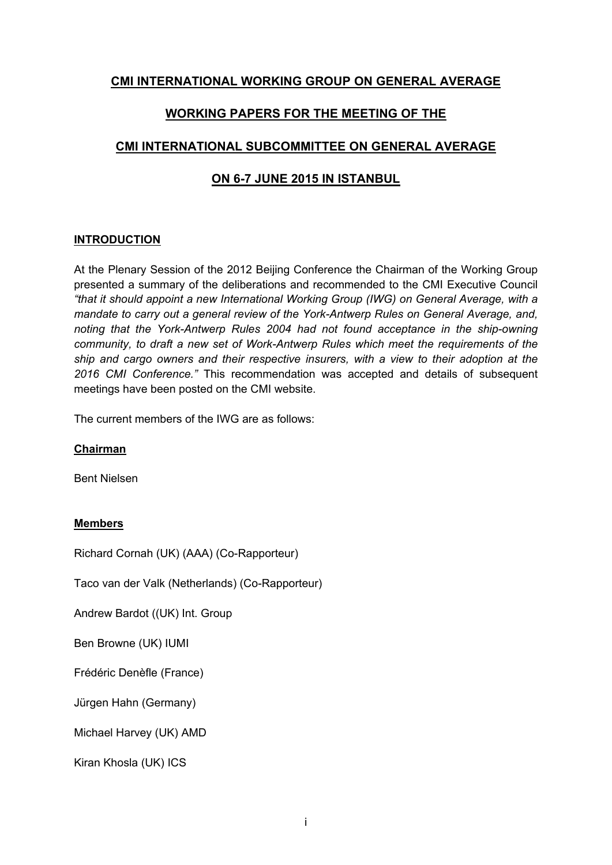# **CMI INTERNATIONAL WORKING GROUP ON GENERAL AVERAGE**

# **WORKING PAPERS FOR THE MEETING OF THE**

# **CMI INTERNATIONAL SUBCOMMITTEE ON GENERAL AVERAGE**

# **ON 6-7 JUNE 2015 IN ISTANBUL**

### **INTRODUCTION**

At the Plenary Session of the 2012 Beijing Conference the Chairman of the Working Group presented a summary of the deliberations and recommended to the CMI Executive Council *"that it should appoint a new International Working Group (IWG) on General Average, with a mandate to carry out a general review of the York-Antwerp Rules on General Average, and, noting that the York-Antwerp Rules 2004 had not found acceptance in the ship-owning community, to draft a new set of Work-Antwerp Rules which meet the requirements of the ship and cargo owners and their respective insurers, with a view to their adoption at the 2016 CMI Conference."* This recommendation was accepted and details of subsequent meetings have been posted on the CMI website.

The current members of the IWG are as follows:

### **Chairman**

Bent Nielsen

### **Members**

Richard Cornah (UK) (AAA) (Co-Rapporteur)

Taco van der Valk (Netherlands) (Co-Rapporteur)

Andrew Bardot ((UK) Int. Group

Ben Browne (UK) IUMI

Frédéric Denèfle (France)

Jürgen Hahn (Germany)

Michael Harvey (UK) AMD

Kiran Khosla (UK) ICS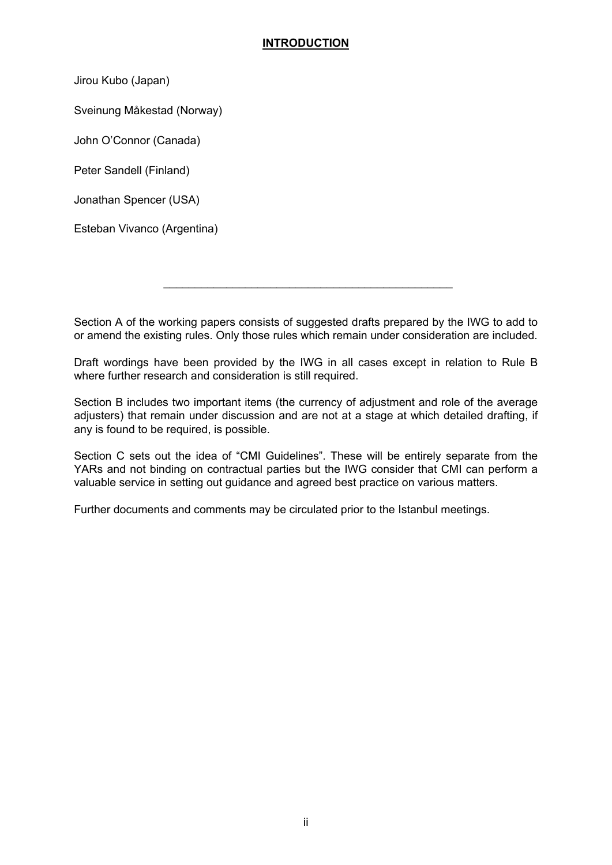### **INTRODUCTION**

Jirou Kubo (Japan)

Sveinung Måkestad (Norway)

John O'Connor (Canada)

Peter Sandell (Finland)

Jonathan Spencer (USA)

Esteban Vivanco (Argentina)

Section A of the working papers consists of suggested drafts prepared by the IWG to add to or amend the existing rules. Only those rules which remain under consideration are included.

\_\_\_\_\_\_\_\_\_\_\_\_\_\_\_\_\_\_\_\_\_\_\_\_\_\_\_\_\_\_\_\_\_\_\_\_\_\_\_\_\_\_\_\_\_\_

Draft wordings have been provided by the IWG in all cases except in relation to Rule B where further research and consideration is still required.

Section B includes two important items (the currency of adjustment and role of the average adjusters) that remain under discussion and are not at a stage at which detailed drafting, if any is found to be required, is possible.

Section C sets out the idea of "CMI Guidelines". These will be entirely separate from the YARs and not binding on contractual parties but the IWG consider that CMI can perform a valuable service in setting out guidance and agreed best practice on various matters.

Further documents and comments may be circulated prior to the Istanbul meetings.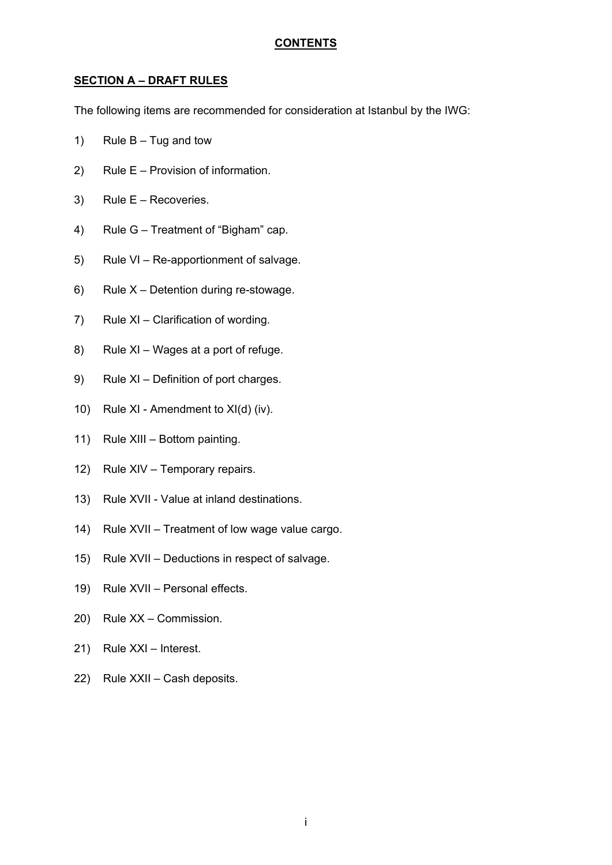### **CONTENTS**

#### **SECTION A – DRAFT RULES**

The following items are recommended for consideration at Istanbul by the IWG:

- 1) Rule  $B T uq$  and tow
- 2) Rule E Provision of information.
- 3) Rule E Recoveries.
- 4) Rule G Treatment of "Bigham" cap.
- 5) Rule VI Re-apportionment of salvage.
- 6) Rule X Detention during re-stowage.
- 7) Rule XI Clarification of wording.
- 8) Rule XI Wages at a port of refuge.
- 9) Rule XI Definition of port charges.
- 10) Rule XI Amendment to XI(d) (iv).
- 11) Rule XIII Bottom painting.
- 12) Rule XIV Temporary repairs.
- 13) Rule XVII Value at inland destinations.
- 14) Rule XVII Treatment of low wage value cargo.
- 15) Rule XVII Deductions in respect of salvage.
- 19) Rule XVII Personal effects.
- 20) Rule XX Commission.
- 21) Rule XXI Interest.
- 22) Rule XXII Cash deposits.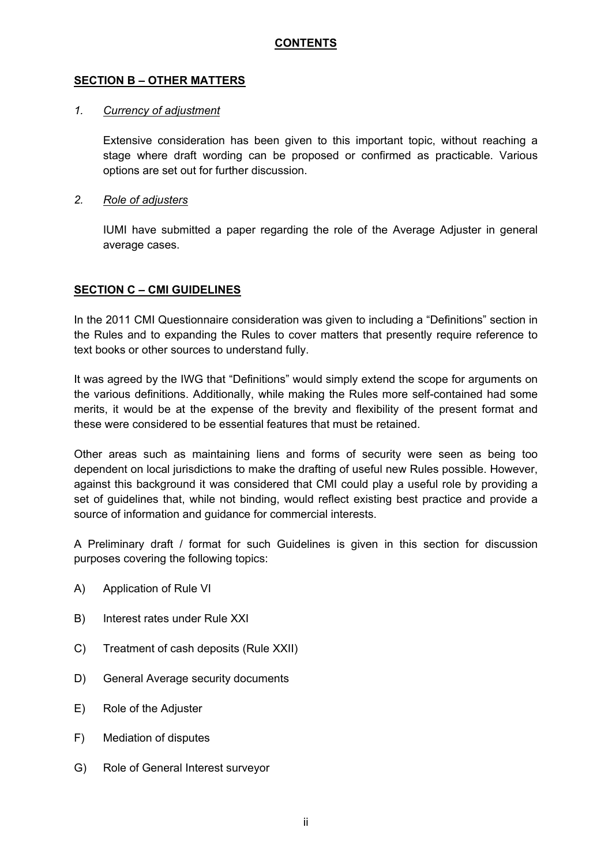### **CONTENTS**

### **SECTION B – OTHER MATTERS**

### *1. Currency of adjustment*

Extensive consideration has been given to this important topic, without reaching a stage where draft wording can be proposed or confirmed as practicable. Various options are set out for further discussion.

### *2. Role of adjusters*

IUMI have submitted a paper regarding the role of the Average Adjuster in general average cases.

### **SECTION C – CMI GUIDELINES**

In the 2011 CMI Questionnaire consideration was given to including a "Definitions" section in the Rules and to expanding the Rules to cover matters that presently require reference to text books or other sources to understand fully.

It was agreed by the IWG that "Definitions" would simply extend the scope for arguments on the various definitions. Additionally, while making the Rules more self-contained had some merits, it would be at the expense of the brevity and flexibility of the present format and these were considered to be essential features that must be retained.

Other areas such as maintaining liens and forms of security were seen as being too dependent on local jurisdictions to make the drafting of useful new Rules possible. However, against this background it was considered that CMI could play a useful role by providing a set of guidelines that, while not binding, would reflect existing best practice and provide a source of information and guidance for commercial interests.

A Preliminary draft / format for such Guidelines is given in this section for discussion purposes covering the following topics:

- A) Application of Rule VI
- B) Interest rates under Rule XXI
- C) Treatment of cash deposits (Rule XXII)
- D) General Average security documents
- E) Role of the Adjuster
- F) Mediation of disputes
- G) Role of General Interest surveyor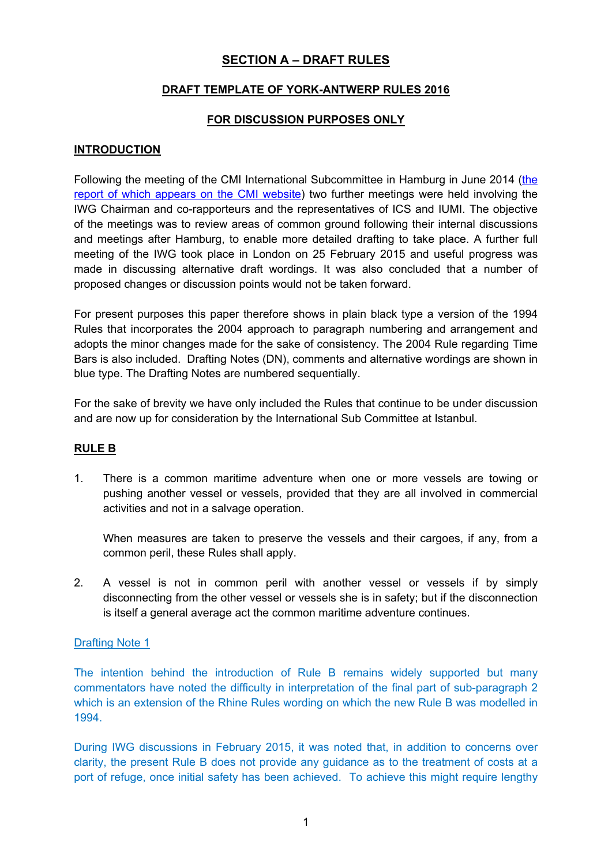### **DRAFT TEMPLATE OF YORK-ANTWERP RULES 2016**

### **FOR DISCUSSION PURPOSES ONLY**

### **INTRODUCTION**

Following the meeting of the CMI International Subcommittee in Hamburg in June 2014 [\(the](http://www.comitemaritime.org/Uploads/CMI_ISCGA_ReportHamburgConf2014(final).pdf) [report](http://www.comitemaritime.org/Uploads/CMI_ISCGA_ReportHamburgConf2014(final).pdf) [of](http://www.comitemaritime.org/Uploads/CMI_ISCGA_ReportHamburgConf2014(final).pdf) [which](http://www.comitemaritime.org/Uploads/CMI_ISCGA_ReportHamburgConf2014(final).pdf) [appears](http://www.comitemaritime.org/Uploads/CMI_ISCGA_ReportHamburgConf2014(final).pdf) [on](http://www.comitemaritime.org/Uploads/CMI_ISCGA_ReportHamburgConf2014(final).pdf) [the](http://www.comitemaritime.org/Uploads/CMI_ISCGA_ReportHamburgConf2014(final).pdf) [CMI](http://www.comitemaritime.org/Uploads/CMI_ISCGA_ReportHamburgConf2014(final).pdf) [website](http://www.comitemaritime.org/Uploads/CMI_ISCGA_ReportHamburgConf2014(final).pdf)) two further meetings were held involving the IWG Chairman and co-rapporteurs and the representatives of ICS and IUMI. The objective of the meetings was to review areas of common ground following their internal discussions and meetings after Hamburg, to enable more detailed drafting to take place. A further full meeting of the IWG took place in London on 25 February 2015 and useful progress was made in discussing alternative draft wordings. It was also concluded that a number of proposed changes or discussion points would not be taken forward.

For present purposes this paper therefore shows in plain black type a version of the 1994 Rules that incorporates the 2004 approach to paragraph numbering and arrangement and adopts the minor changes made for the sake of consistency. The 2004 Rule regarding Time Bars is also included. Drafting Notes (DN), comments and alternative wordings are shown in blue type. The Drafting Notes are numbered sequentially.

For the sake of brevity we have only included the Rules that continue to be under discussion and are now up for consideration by the International Sub Committee at Istanbul.

### **RULE B**

1. There is a common maritime adventure when one or more vessels are towing or pushing another vessel or vessels, provided that they are all involved in commercial activities and not in a salvage operation.

When measures are taken to preserve the vessels and their cargoes, if any, from a common peril, these Rules shall apply.

2. A vessel is not in common peril with another vessel or vessels if by simply disconnecting from the other vessel or vessels she is in safety; but if the disconnection is itself a general average act the common maritime adventure continues.

### Drafting Note 1

The intention behind the introduction of Rule B remains widely supported but many commentators have noted the difficulty in interpretation of the final part of sub-paragraph 2 which is an extension of the Rhine Rules wording on which the new Rule B was modelled in 1994.

During IWG discussions in February 2015, it was noted that, in addition to concerns over clarity, the present Rule B does not provide any guidance as to the treatment of costs at a port of refuge, once initial safety has been achieved. To achieve this might require lengthy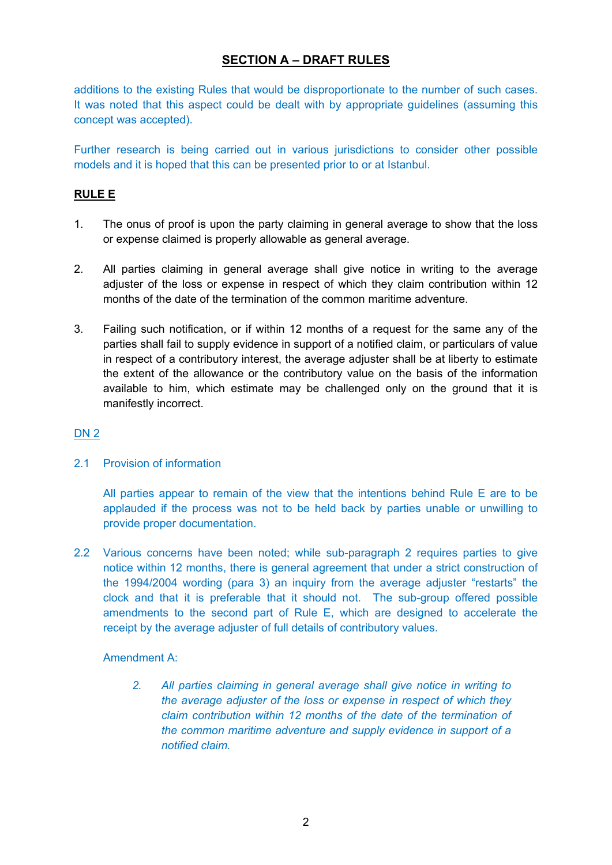additions to the existing Rules that would be disproportionate to the number of such cases. It was noted that this aspect could be dealt with by appropriate guidelines (assuming this concept was accepted).

Further research is being carried out in various jurisdictions to consider other possible models and it is hoped that this can be presented prior to or at Istanbul.

### **RULE E**

- 1. The onus of proof is upon the party claiming in general average to show that the loss or expense claimed is properly allowable as general average.
- 2. All parties claiming in general average shall give notice in writing to the average adjuster of the loss or expense in respect of which they claim contribution within 12 months of the date of the termination of the common maritime adventure.
- 3. Failing such notification, or if within 12 months of a request for the same any of the parties shall fail to supply evidence in support of a notified claim, or particulars of value in respect of a contributory interest, the average adjuster shall be at liberty to estimate the extent of the allowance or the contributory value on the basis of the information available to him, which estimate may be challenged only on the ground that it is manifestly incorrect.

### DN 2

### 2.1 Provision of information

All parties appear to remain of the view that the intentions behind Rule E are to be applauded if the process was not to be held back by parties unable or unwilling to provide proper documentation.

2.2 Various concerns have been noted; while sub-paragraph 2 requires parties to give notice within 12 months, there is general agreement that under a strict construction of the 1994/2004 wording (para 3) an inquiry from the average adjuster "restarts" the clock and that it is preferable that it should not. The sub-group offered possible amendments to the second part of Rule E, which are designed to accelerate the receipt by the average adjuster of full details of contributory values.

### Amendment A:

*2. All parties claiming in general average shall give notice in writing to the average adjuster of the loss or expense in respect of which they claim contribution within 12 months of the date of the termination of the common maritime adventure and supply evidence in support of a notified claim.*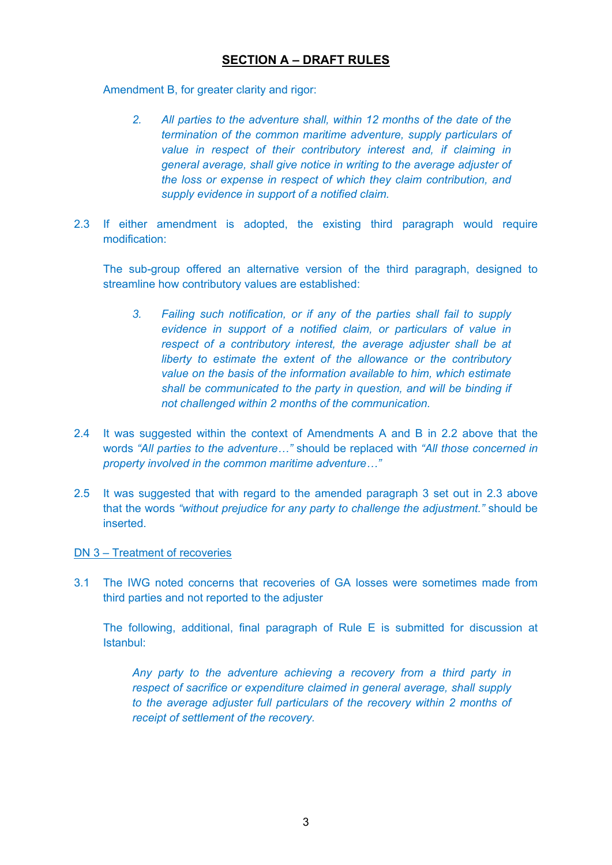Amendment B, for greater clarity and rigor:

- *2. All parties to the adventure shall, within 12 months of the date of the termination of the common maritime adventure, supply particulars of value in respect of their contributory interest and, if claiming in general average, shall give notice in writing to the average adjuster of the loss or expense in respect of which they claim contribution, and supply evidence in support of a notified claim.*
- 2.3 If either amendment is adopted, the existing third paragraph would require modification:

The sub-group offered an alternative version of the third paragraph, designed to streamline how contributory values are established:

- *3. Failing such notification, or if any of the parties shall fail to supply evidence in support of a notified claim, or particulars of value in respect of a contributory interest, the average adjuster shall be at liberty to estimate the extent of the allowance or the contributory value on the basis of the information available to him, which estimate shall be communicated to the party in question, and will be binding if not challenged within 2 months of the communication.*
- 2.4 It was suggested within the context of Amendments A and B in 2.2 above that the words *"All parties to the adventure…"* should be replaced with *"All those concerned in property involved in the common maritime adventure…"*
- 2.5 It was suggested that with regard to the amended paragraph 3 set out in 2.3 above that the words *"without prejudice for any party to challenge the adjustment."* should be inserted.

### DN 3 – Treatment of recoveries

3.1 The IWG noted concerns that recoveries of GA losses were sometimes made from third parties and not reported to the adjuster

The following, additional, final paragraph of Rule E is submitted for discussion at Istanbul:

*Any party to the adventure achieving a recovery from a third party in respect of sacrifice or expenditure claimed in general average, shall supply to the average adjuster full particulars of the recovery within 2 months of receipt of settlement of the recovery.*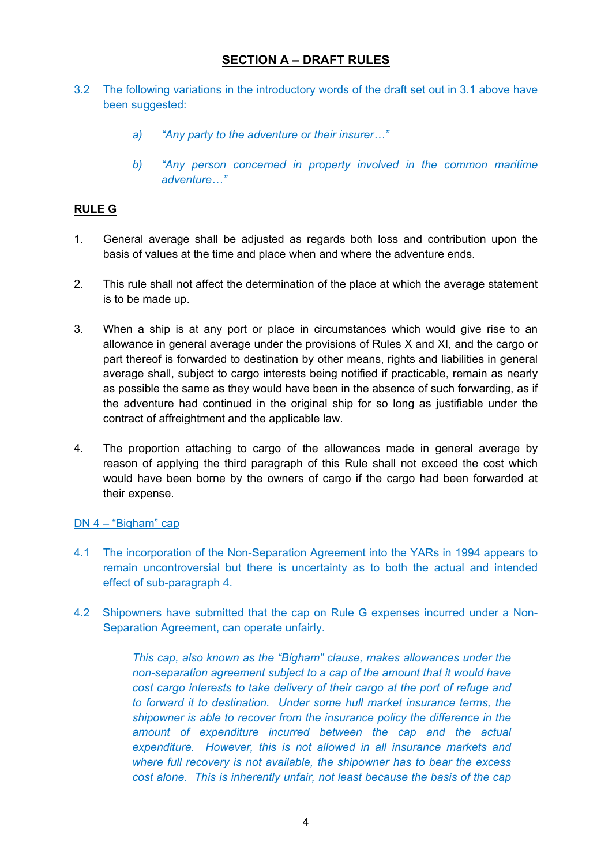- 3.2 The following variations in the introductory words of the draft set out in 3.1 above have been suggested:
	- *a) "Any party to the adventure or their insurer…"*
	- *b) "Any person concerned in property involved in the common maritime adventure…"*

### **RULE G**

- 1. General average shall be adjusted as regards both loss and contribution upon the basis of values at the time and place when and where the adventure ends.
- 2. This rule shall not affect the determination of the place at which the average statement is to be made up.
- 3. When a ship is at any port or place in circumstances which would give rise to an allowance in general average under the provisions of Rules X and XI, and the cargo or part thereof is forwarded to destination by other means, rights and liabilities in general average shall, subject to cargo interests being notified if practicable, remain as nearly as possible the same as they would have been in the absence of such forwarding, as if the adventure had continued in the original ship for so long as justifiable under the contract of affreightment and the applicable law.
- 4. The proportion attaching to cargo of the allowances made in general average by reason of applying the third paragraph of this Rule shall not exceed the cost which would have been borne by the owners of cargo if the cargo had been forwarded at their expense.

### DN 4 – "Bigham" cap

- 4.1 The incorporation of the Non-Separation Agreement into the YARs in 1994 appears to remain uncontroversial but there is uncertainty as to both the actual and intended effect of sub-paragraph 4.
- 4.2 Shipowners have submitted that the cap on Rule G expenses incurred under a Non-Separation Agreement, can operate unfairly.

*This cap, also known as the "Bigham" clause, makes allowances under the non-separation agreement subject to a cap of the amount that it would have cost cargo interests to take delivery of their cargo at the port of refuge and to forward it to destination. Under some hull market insurance terms, the shipowner is able to recover from the insurance policy the difference in the amount of expenditure incurred between the cap and the actual expenditure. However, this is not allowed in all insurance markets and where full recovery is not available, the shipowner has to bear the excess cost alone. This is inherently unfair, not least because the basis of the cap*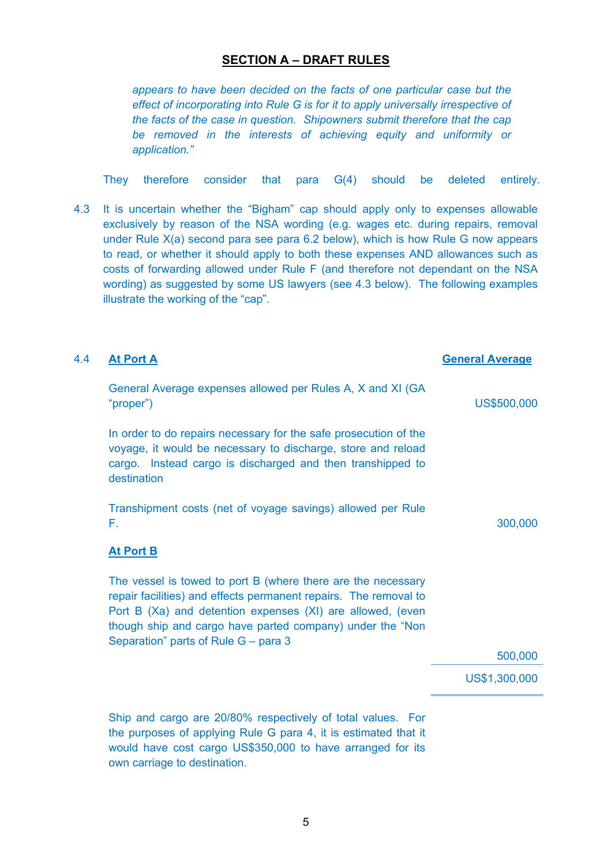*appears to have been decided on the facts of one particular case but the effect of incorporating into Rule G is for it to apply universally irrespective of the facts of the case in question. Shipowners submit therefore that the cap be removed in the interests of achieving equity and uniformity or application."*

They therefore consider that para G(4) should be deleted entirely.

4.3 It is uncertain whether the "Bigham" cap should apply only to expenses allowable exclusively by reason of the NSA wording (e.g. wages etc. during repairs, removal under Rule X(a) second para see para 6.2 below), which is how Rule G now appears to read, or whether it should apply to both these expenses AND allowances such as costs of forwarding allowed under Rule F (and therefore not dependant on the NSA wording) as suggested by some US lawyers (see 4.3 below). The following examples illustrate the working of the "cap".

| 4.4 | <b>At Port A</b>                                                                                                                                                                                                                                                                                    | <b>General Average</b> |
|-----|-----------------------------------------------------------------------------------------------------------------------------------------------------------------------------------------------------------------------------------------------------------------------------------------------------|------------------------|
|     | General Average expenses allowed per Rules A, X and XI (GA<br>"proper")                                                                                                                                                                                                                             | US\$500,000            |
|     | In order to do repairs necessary for the safe prosecution of the<br>voyage, it would be necessary to discharge, store and reload<br>cargo. Instead cargo is discharged and then transhipped to<br>destination                                                                                       |                        |
|     | Transhipment costs (net of voyage savings) allowed per Rule<br>F.                                                                                                                                                                                                                                   | 300,000                |
|     | <b>At Port B</b>                                                                                                                                                                                                                                                                                    |                        |
|     | The vessel is towed to port B (where there are the necessary<br>repair facilities) and effects permanent repairs. The removal to<br>Port B (Xa) and detention expenses (XI) are allowed, (even<br>though ship and cargo have parted company) under the "Non<br>Separation" parts of Rule G - para 3 |                        |
|     |                                                                                                                                                                                                                                                                                                     | 500,000                |
|     |                                                                                                                                                                                                                                                                                                     | US\$1,300,000          |
|     |                                                                                                                                                                                                                                                                                                     |                        |

Ship and cargo are 20/80% respectively of total values. For the purposes of applying Rule G para 4, it is estimated that it would have cost cargo US\$350,000 to have arranged for its own carriage to destination.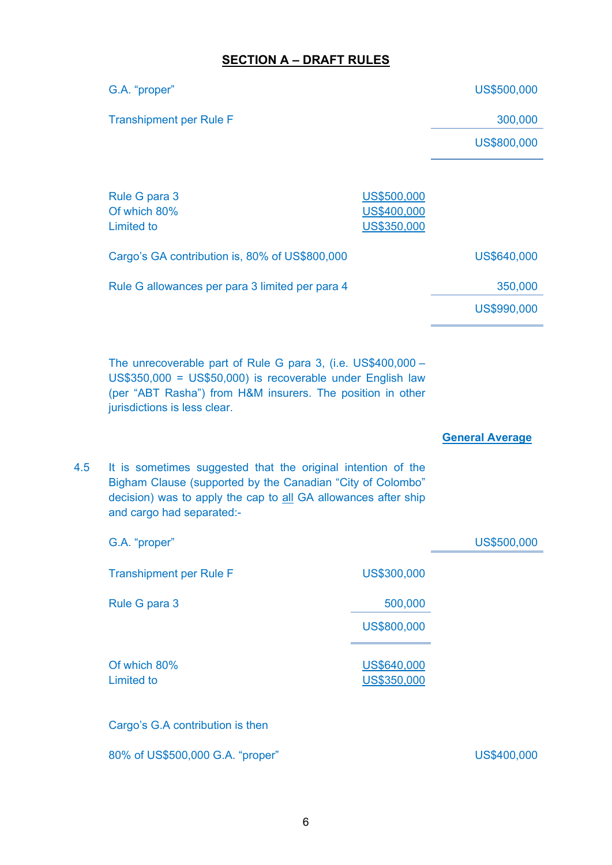|     | G.A. "proper"                                                                                                                                                                                                             |                                           | US\$500,000            |
|-----|---------------------------------------------------------------------------------------------------------------------------------------------------------------------------------------------------------------------------|-------------------------------------------|------------------------|
|     | <b>Transhipment per Rule F</b>                                                                                                                                                                                            |                                           | 300,000                |
|     |                                                                                                                                                                                                                           |                                           | US\$800,000            |
|     | Rule G para 3<br>Of which 80%<br><b>Limited to</b>                                                                                                                                                                        | US\$500,000<br>US\$400,000<br>US\$350,000 |                        |
|     |                                                                                                                                                                                                                           |                                           |                        |
|     | Cargo's GA contribution is, 80% of US\$800,000                                                                                                                                                                            |                                           | US\$640,000            |
|     | Rule G allowances per para 3 limited per para 4                                                                                                                                                                           |                                           | 350,000                |
|     |                                                                                                                                                                                                                           |                                           | US\$990,000            |
|     | The unrecoverable part of Rule G para 3, (i.e. US\$400,000 -<br>US\$350,000 = US\$50,000) is recoverable under English law<br>(per "ABT Rasha") from H&M insurers. The position in other<br>jurisdictions is less clear.  |                                           |                        |
|     |                                                                                                                                                                                                                           |                                           | <b>General Average</b> |
| 4.5 | It is sometimes suggested that the original intention of the<br>Bigham Clause (supported by the Canadian "City of Colombo"<br>decision) was to apply the cap to all GA allowances after ship<br>and cargo had separated:- |                                           |                        |
|     | G.A. "proper"                                                                                                                                                                                                             |                                           | US\$500,000            |
|     | <b>Transhipment per Rule F</b>                                                                                                                                                                                            | US\$300,000                               |                        |
|     | Rule G para 3                                                                                                                                                                                                             | 500,000                                   |                        |
|     |                                                                                                                                                                                                                           | US\$800,000                               |                        |
|     | Of which 80%<br><b>Limited to</b>                                                                                                                                                                                         | US\$640,000<br>US\$350,000                |                        |
|     | Cargo's G.A contribution is then                                                                                                                                                                                          |                                           |                        |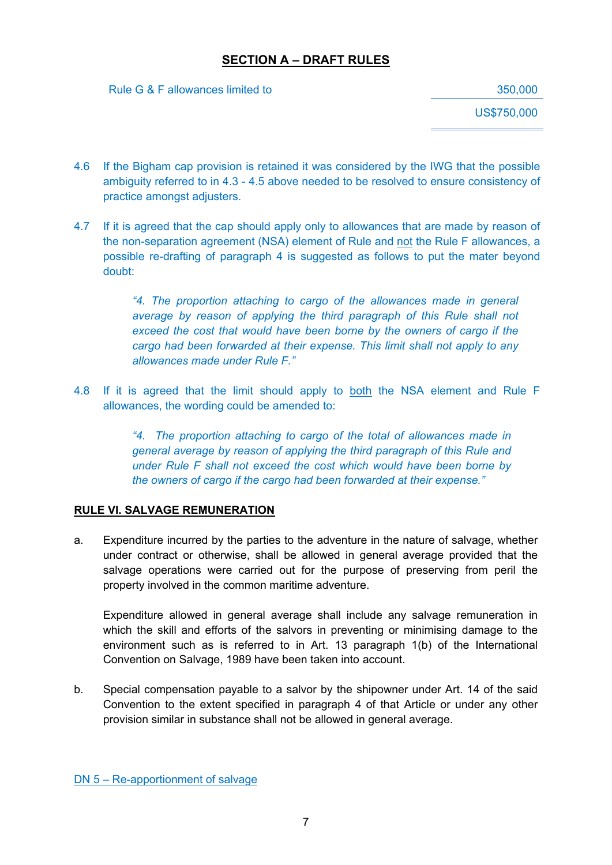Rule G & F allowances limited to 350,000

US\$750,000

- 4.6 If the Bigham cap provision is retained it was considered by the IWG that the possible ambiguity referred to in 4.3 - 4.5 above needed to be resolved to ensure consistency of practice amongst adjusters.
- 4.7 If it is agreed that the cap should apply only to allowances that are made by reason of the non-separation agreement (NSA) element of Rule and not the Rule F allowances, a possible re-drafting of paragraph 4 is suggested as follows to put the mater beyond doubt:

*"4. The proportion attaching to cargo of the allowances made in general average by reason of applying the third paragraph of this Rule shall not exceed the cost that would have been borne by the owners of cargo if the cargo had been forwarded at their expense. This limit shall not apply to any allowances made under Rule F."*

4.8 If it is agreed that the limit should apply to both the NSA element and Rule F allowances, the wording could be amended to:

> *"4. The proportion attaching to cargo of the total of allowances made in general average by reason of applying the third paragraph of this Rule and under Rule F shall not exceed the cost which would have been borne by the owners of cargo if the cargo had been forwarded at their expense."*

### **RULE VI. SALVAGE REMUNERATION**

a. Expenditure incurred by the parties to the adventure in the nature of salvage, whether under contract or otherwise, shall be allowed in general average provided that the salvage operations were carried out for the purpose of preserving from peril the property involved in the common maritime adventure.

Expenditure allowed in general average shall include any salvage remuneration in which the skill and efforts of the salvors in preventing or minimising damage to the environment such as is referred to in Art. 13 paragraph 1(b) of the International Convention on Salvage, 1989 have been taken into account.

b. Special compensation payable to a salvor by the shipowner under Art. 14 of the said Convention to the extent specified in paragraph 4 of that Article or under any other provision similar in substance shall not be allowed in general average.

DN 5 – Re-apportionment of salvage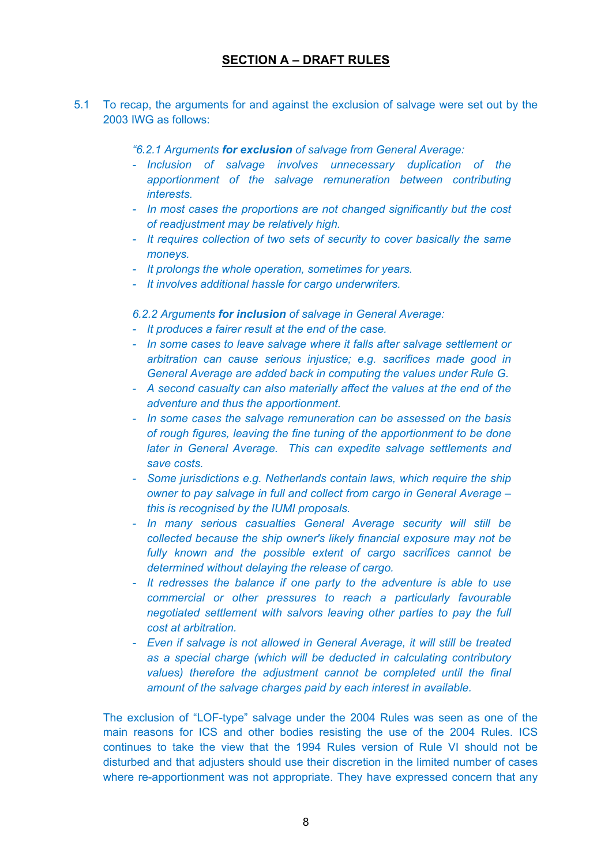5.1 To recap, the arguments for and against the exclusion of salvage were set out by the 2003 IWG as follows:

#### *"6.2.1 Arguments for exclusion of salvage from General Average:*

- *- Inclusion of salvage involves unnecessary duplication of the apportionment of the salvage remuneration between contributing interests.*
- *- In most cases the proportions are not changed significantly but the cost of readjustment may be relatively high.*
- *- It requires collection of two sets of security to cover basically the same moneys.*
- *- It prolongs the whole operation, sometimes for years.*
- *- It involves additional hassle for cargo underwriters.*

*6.2.2 Arguments for inclusion of salvage in General Average:*

- *- It produces a fairer result at the end of the case.*
- *- In some cases to leave salvage where it falls after salvage settlement or arbitration can cause serious injustice; e.g. sacrifices made good in General Average are added back in computing the values under Rule G.*
- *- A second casualty can also materially affect the values at the end of the adventure and thus the apportionment.*
- *- In some cases the salvage remuneration can be assessed on the basis of rough figures, leaving the fine tuning of the apportionment to be done later in General Average. This can expedite salvage settlements and save costs.*
- *- Some jurisdictions e.g. Netherlands contain laws, which require the ship owner to pay salvage in full and collect from cargo in General Average – this is recognised by the IUMI proposals.*
- *- In many serious casualties General Average security will still be collected because the ship owner's likely financial exposure may not be fully known and the possible extent of cargo sacrifices cannot be determined without delaying the release of cargo.*
- *- It redresses the balance if one party to the adventure is able to use commercial or other pressures to reach a particularly favourable negotiated settlement with salvors leaving other parties to pay the full cost at arbitration.*
- *- Even if salvage is not allowed in General Average, it will still be treated as a special charge (which will be deducted in calculating contributory values) therefore the adjustment cannot be completed until the final amount of the salvage charges paid by each interest in available.*

The exclusion of "LOF-type" salvage under the 2004 Rules was seen as one of the main reasons for ICS and other bodies resisting the use of the 2004 Rules. ICS continues to take the view that the 1994 Rules version of Rule VI should not be disturbed and that adjusters should use their discretion in the limited number of cases where re-apportionment was not appropriate. They have expressed concern that any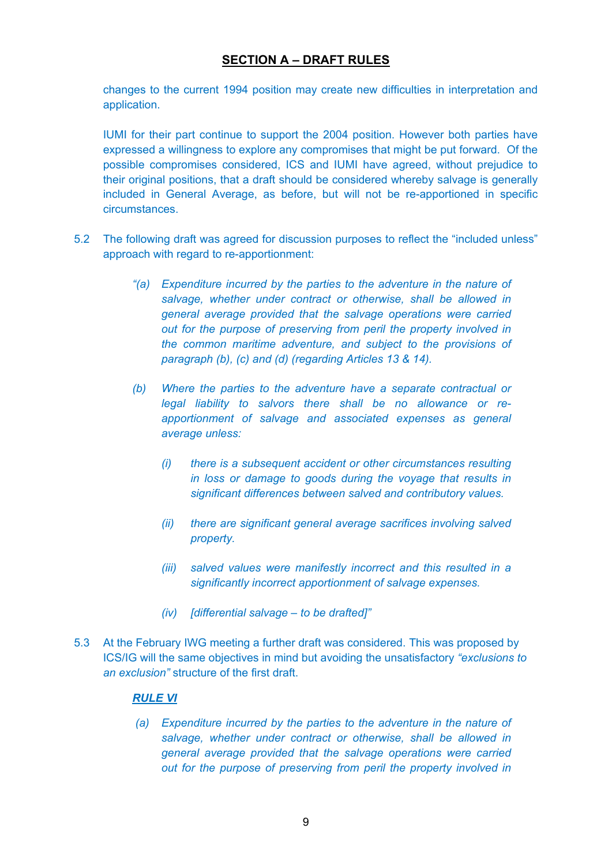changes to the current 1994 position may create new difficulties in interpretation and application.

IUMI for their part continue to support the 2004 position. However both parties have expressed a willingness to explore any compromises that might be put forward. Of the possible compromises considered, ICS and IUMI have agreed, without prejudice to their original positions, that a draft should be considered whereby salvage is generally included in General Average, as before, but will not be re-apportioned in specific circumstances.

- 5.2 The following draft was agreed for discussion purposes to reflect the "included unless" approach with regard to re-apportionment:
	- *"(a) Expenditure incurred by the parties to the adventure in the nature of salvage, whether under contract or otherwise, shall be allowed in general average provided that the salvage operations were carried out for the purpose of preserving from peril the property involved in the common maritime adventure, and subject to the provisions of paragraph (b), (c) and (d) (regarding Articles 13 & 14).*
	- *(b) Where the parties to the adventure have a separate contractual or legal liability to salvors there shall be no allowance or reapportionment of salvage and associated expenses as general average unless:*
		- *(i) there is a subsequent accident or other circumstances resulting in loss or damage to goods during the voyage that results in significant differences between salved and contributory values.*
		- *(ii) there are significant general average sacrifices involving salved property.*
		- *(iii) salved values were manifestly incorrect and this resulted in a significantly incorrect apportionment of salvage expenses.*
		- *(iv) [differential salvage – to be drafted]"*
- 5.3 At the February IWG meeting a further draft was considered. This was proposed by ICS/IG will the same objectives in mind but avoiding the unsatisfactory *"exclusions to an exclusion"* structure of the first draft.

### *RULE VI*

*(a) Expenditure incurred by the parties to the adventure in the nature of salvage, whether under contract or otherwise, shall be allowed in general average provided that the salvage operations were carried out for the purpose of preserving from peril the property involved in*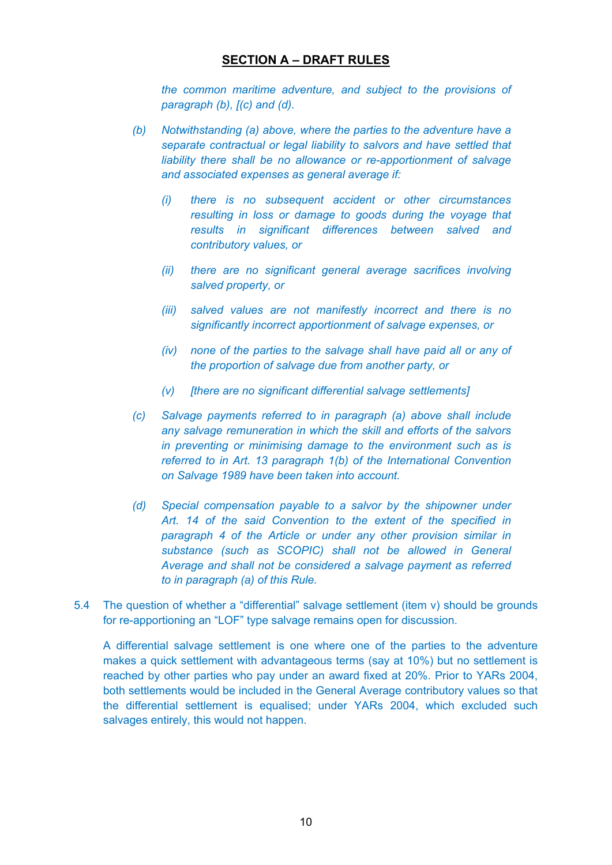*the common maritime adventure, and subject to the provisions of paragraph (b), [(c) and (d).*

- *(b) Notwithstanding (a) above, where the parties to the adventure have a separate contractual or legal liability to salvors and have settled that liability there shall be no allowance or re-apportionment of salvage and associated expenses as general average if:*
	- *(i) there is no subsequent accident or other circumstances resulting in loss or damage to goods during the voyage that results in significant differences between salved and contributory values, or*
	- *(ii) there are no significant general average sacrifices involving salved property, or*
	- *(iii) salved values are not manifestly incorrect and there is no significantly incorrect apportionment of salvage expenses, or*
	- *(iv) none of the parties to the salvage shall have paid all or any of the proportion of salvage due from another party, or*
	- *(v) [there are no significant differential salvage settlements]*
- *(c) Salvage payments referred to in paragraph (a) above shall include any salvage remuneration in which the skill and efforts of the salvors in preventing or minimising damage to the environment such as is referred to in Art. 13 paragraph 1(b) of the International Convention on Salvage 1989 have been taken into account.*
- *(d) Special compensation payable to a salvor by the shipowner under Art. 14 of the said Convention to the extent of the specified in paragraph 4 of the Article or under any other provision similar in substance (such as SCOPIC) shall not be allowed in General Average and shall not be considered a salvage payment as referred to in paragraph (a) of this Rule.*
- 5.4 The question of whether a "differential" salvage settlement (item v) should be grounds for re-apportioning an "LOF" type salvage remains open for discussion.

A differential salvage settlement is one where one of the parties to the adventure makes a quick settlement with advantageous terms (say at 10%) but no settlement is reached by other parties who pay under an award fixed at 20%. Prior to YARs 2004, both settlements would be included in the General Average contributory values so that the differential settlement is equalised; under YARs 2004, which excluded such salvages entirely, this would not happen.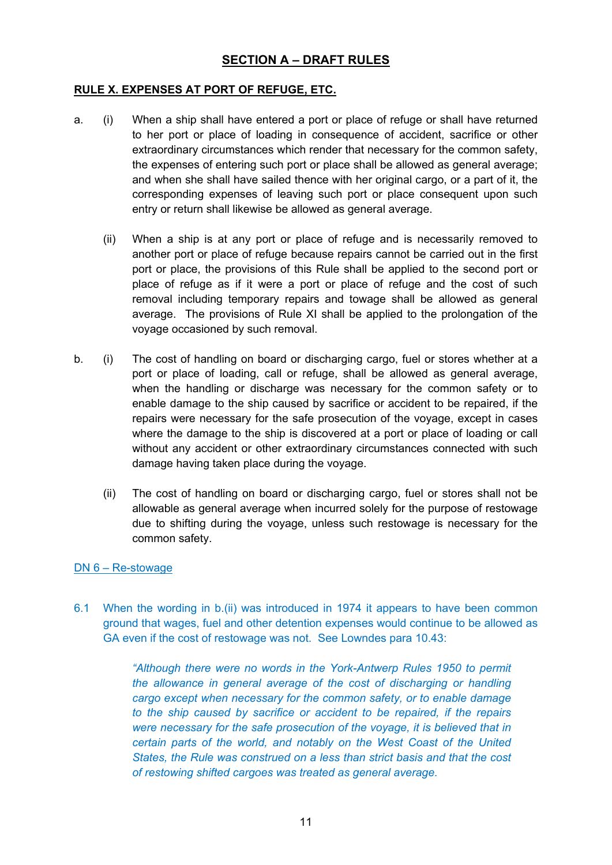### **RULE X. EXPENSES AT PORT OF REFUGE, ETC.**

- a. (i) When a ship shall have entered a port or place of refuge or shall have returned to her port or place of loading in consequence of accident, sacrifice or other extraordinary circumstances which render that necessary for the common safety, the expenses of entering such port or place shall be allowed as general average; and when she shall have sailed thence with her original cargo, or a part of it, the corresponding expenses of leaving such port or place consequent upon such entry or return shall likewise be allowed as general average.
	- (ii) When a ship is at any port or place of refuge and is necessarily removed to another port or place of refuge because repairs cannot be carried out in the first port or place, the provisions of this Rule shall be applied to the second port or place of refuge as if it were a port or place of refuge and the cost of such removal including temporary repairs and towage shall be allowed as general average. The provisions of Rule XI shall be applied to the prolongation of the voyage occasioned by such removal.
- b. (i) The cost of handling on board or discharging cargo, fuel or stores whether at a port or place of loading, call or refuge, shall be allowed as general average, when the handling or discharge was necessary for the common safety or to enable damage to the ship caused by sacrifice or accident to be repaired, if the repairs were necessary for the safe prosecution of the voyage, except in cases where the damage to the ship is discovered at a port or place of loading or call without any accident or other extraordinary circumstances connected with such damage having taken place during the voyage.
	- (ii) The cost of handling on board or discharging cargo, fuel or stores shall not be allowable as general average when incurred solely for the purpose of restowage due to shifting during the voyage, unless such restowage is necessary for the common safety.

### DN 6 – Re-stowage

6.1 When the wording in b.(ii) was introduced in 1974 it appears to have been common ground that wages, fuel and other detention expenses would continue to be allowed as GA even if the cost of restowage was not. See Lowndes para 10.43:

> *"Although there were no words in the York-Antwerp Rules 1950 to permit the allowance in general average of the cost of discharging or handling cargo except when necessary for the common safety, or to enable damage to the ship caused by sacrifice or accident to be repaired, if the repairs were necessary for the safe prosecution of the voyage, it is believed that in certain parts of the world, and notably on the West Coast of the United States, the Rule was construed on a less than strict basis and that the cost of restowing shifted cargoes was treated as general average.*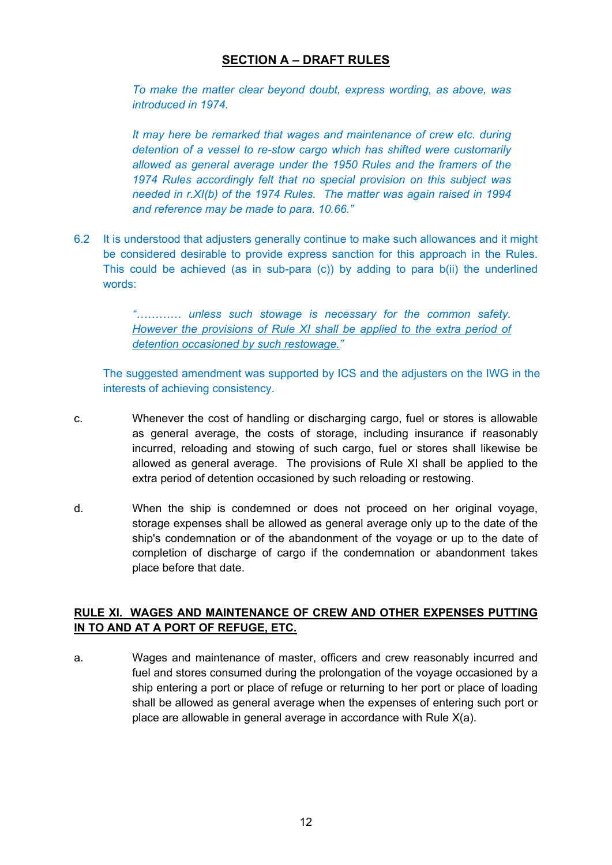*To make the matter clear beyond doubt, express wording, as above, was introduced in 1974.*

*It may here be remarked that wages and maintenance of crew etc. during detention of a vessel to re-stow cargo which has shifted were customarily allowed as general average under the 1950 Rules and the framers of the 1974 Rules accordingly felt that no special provision on this subject was needed in r.XI(b) of the 1974 Rules. The matter was again raised in 1994 and reference may be made to para. 10.66."*

6.2 It is understood that adjusters generally continue to make such allowances and it might be considered desirable to provide express sanction for this approach in the Rules. This could be achieved (as in sub-para  $(c)$ ) by adding to para b(ii) the underlined words:

> *"………… unless such stowage is necessary for the common safety. However the provisions of Rule XI shall be applied to the extra period of detention occasioned by such restowage."*

The suggested amendment was supported by ICS and the adjusters on the IWG in the interests of achieving consistency.

- c. Whenever the cost of handling or discharging cargo, fuel or stores is allowable as general average, the costs of storage, including insurance if reasonably incurred, reloading and stowing of such cargo, fuel or stores shall likewise be allowed as general average. The provisions of Rule XI shall be applied to the extra period of detention occasioned by such reloading or restowing.
- d. When the ship is condemned or does not proceed on her original voyage, storage expenses shall be allowed as general average only up to the date of the ship's condemnation or of the abandonment of the voyage or up to the date of completion of discharge of cargo if the condemnation or abandonment takes place before that date.

### **RULE XI. WAGES AND MAINTENANCE OF CREW AND OTHER EXPENSES PUTTING IN TO AND AT A PORT OF REFUGE, ETC.**

a. Wages and maintenance of master, officers and crew reasonably incurred and fuel and stores consumed during the prolongation of the voyage occasioned by a ship entering a port or place of refuge or returning to her port or place of loading shall be allowed as general average when the expenses of entering such port or place are allowable in general average in accordance with Rule X(a).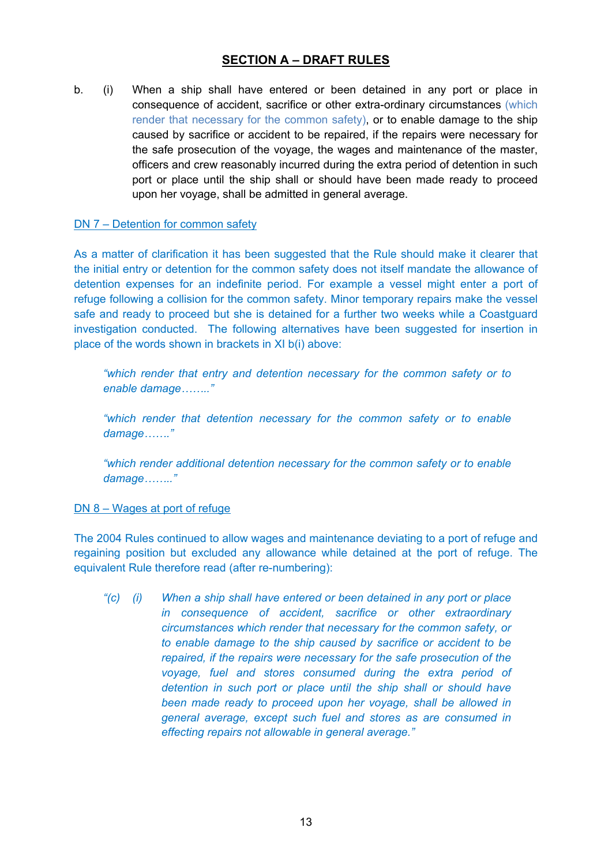b. (i) When a ship shall have entered or been detained in any port or place in consequence of accident, sacrifice or other extra-ordinary circumstances (which render that necessary for the common safety), or to enable damage to the ship caused by sacrifice or accident to be repaired, if the repairs were necessary for the safe prosecution of the voyage, the wages and maintenance of the master, officers and crew reasonably incurred during the extra period of detention in such port or place until the ship shall or should have been made ready to proceed upon her voyage, shall be admitted in general average.

### DN 7 – Detention for common safety

As a matter of clarification it has been suggested that the Rule should make it clearer that the initial entry or detention for the common safety does not itself mandate the allowance of detention expenses for an indefinite period. For example a vessel might enter a port of refuge following a collision for the common safety. Minor temporary repairs make the vessel safe and ready to proceed but she is detained for a further two weeks while a Coastguard investigation conducted. The following alternatives have been suggested for insertion in place of the words shown in brackets in XI b(i) above:

*"which render that entry and detention necessary for the common safety or to enable damage…….."*

*"which render that detention necessary for the common safety or to enable damage……."*

*"which render additional detention necessary for the common safety or to enable damage…….."*

### DN 8 – Wages at port of refuge

The 2004 Rules continued to allow wages and maintenance deviating to a port of refuge and regaining position but excluded any allowance while detained at the port of refuge. The equivalent Rule therefore read (after re-numbering):

*"(c) (i) When a ship shall have entered or been detained in any port or place in consequence of accident, sacrifice or other extraordinary circumstances which render that necessary for the common safety, or to enable damage to the ship caused by sacrifice or accident to be repaired, if the repairs were necessary for the safe prosecution of the voyage, fuel and stores consumed during the extra period of detention in such port or place until the ship shall or should have been made ready to proceed upon her voyage, shall be allowed in general average, except such fuel and stores as are consumed in effecting repairs not allowable in general average."*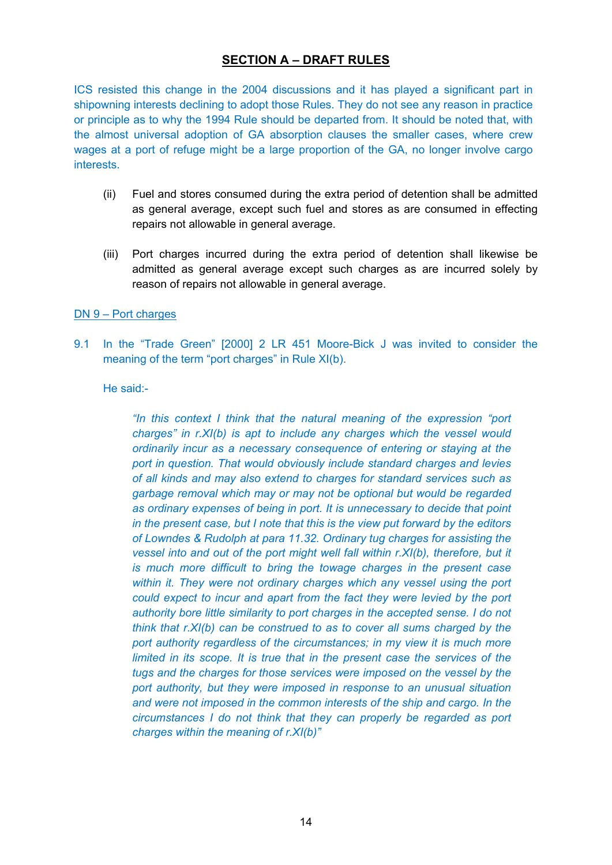ICS resisted this change in the 2004 discussions and it has played a significant part in shipowning interests declining to adopt those Rules. They do not see any reason in practice or principle as to why the 1994 Rule should be departed from. It should be noted that, with the almost universal adoption of GA absorption clauses the smaller cases, where crew wages at a port of refuge might be a large proportion of the GA, no longer involve cargo interests.

- (ii) Fuel and stores consumed during the extra period of detention shall be admitted as general average, except such fuel and stores as are consumed in effecting repairs not allowable in general average.
- (iii) Port charges incurred during the extra period of detention shall likewise be admitted as general average except such charges as are incurred solely by reason of repairs not allowable in general average.

#### DN 9 – Port charges

9.1 In the "Trade Green" [2000] 2 LR 451 Moore-Bick J was invited to consider the meaning of the term "port charges" in Rule XI(b).

He said:-

*"In this context I think that the natural meaning of the expression "port charges" in r.XI(b) is apt to include any charges which the vessel would ordinarily incur as a necessary consequence of entering or staying at the port in question. That would obviously include standard charges and levies of all kinds and may also extend to charges for standard services such as garbage removal which may or may not be optional but would be regarded as ordinary expenses of being in port. It is unnecessary to decide that point in the present case, but I note that this is the view put forward by the editors of Lowndes & Rudolph at para 11.32. Ordinary tug charges for assisting the vessel into and out of the port might well fall within r.XI(b), therefore, but it is much more difficult to bring the towage charges in the present case within it. They were not ordinary charges which any vessel using the port could expect to incur and apart from the fact they were levied by the port authority bore little similarity to port charges in the accepted sense. I do not think that r.XI(b) can be construed to as to cover all sums charged by the port authority regardless of the circumstances; in my view it is much more limited in its scope. It is true that in the present case the services of the tugs and the charges for those services were imposed on the vessel by the port authority, but they were imposed in response to an unusual situation and were not imposed in the common interests of the ship and cargo. In the circumstances I do not think that they can properly be regarded as port charges within the meaning of r.XI(b)"*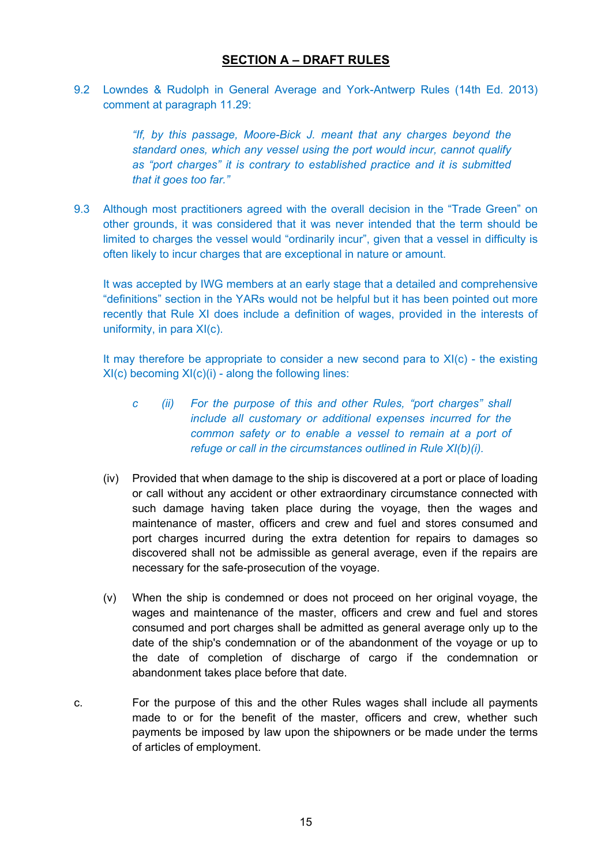9.2 Lowndes & Rudolph in General Average and York-Antwerp Rules (14th Ed. 2013) comment at paragraph 11.29:

> *"If, by this passage, Moore-Bick J. meant that any charges beyond the standard ones, which any vessel using the port would incur, cannot qualify as "port charges" it is contrary to established practice and it is submitted that it goes too far."*

9.3 Although most practitioners agreed with the overall decision in the "Trade Green" on other grounds, it was considered that it was never intended that the term should be limited to charges the vessel would "ordinarily incur", given that a vessel in difficulty is often likely to incur charges that are exceptional in nature or amount.

It was accepted by IWG members at an early stage that a detailed and comprehensive "definitions" section in the YARs would not be helpful but it has been pointed out more recently that Rule XI does include a definition of wages, provided in the interests of uniformity, in para XI(c).

It may therefore be appropriate to consider a new second para to XI(c) - the existing  $XI(c)$  becoming  $XI(c)(i)$  - along the following lines:

- *c (ii) For the purpose of this and other Rules, "port charges" shall include all customary or additional expenses incurred for the common safety or to enable a vessel to remain at a port of refuge or call in the circumstances outlined in Rule XI(b)(i).*
- (iv) Provided that when damage to the ship is discovered at a port or place of loading or call without any accident or other extraordinary circumstance connected with such damage having taken place during the voyage, then the wages and maintenance of master, officers and crew and fuel and stores consumed and port charges incurred during the extra detention for repairs to damages so discovered shall not be admissible as general average, even if the repairs are necessary for the safe-prosecution of the voyage.
- (v) When the ship is condemned or does not proceed on her original voyage, the wages and maintenance of the master, officers and crew and fuel and stores consumed and port charges shall be admitted as general average only up to the date of the ship's condemnation or of the abandonment of the voyage or up to the date of completion of discharge of cargo if the condemnation or abandonment takes place before that date.
- c. For the purpose of this and the other Rules wages shall include all payments made to or for the benefit of the master, officers and crew, whether such payments be imposed by law upon the shipowners or be made under the terms of articles of employment.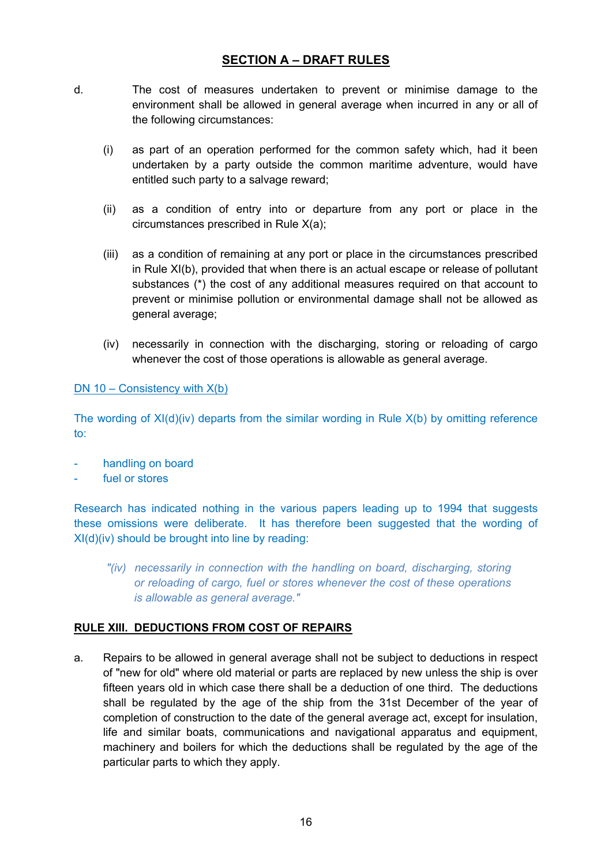- d. The cost of measures undertaken to prevent or minimise damage to the environment shall be allowed in general average when incurred in any or all of the following circumstances:
	- (i) as part of an operation performed for the common safety which, had it been undertaken by a party outside the common maritime adventure, would have entitled such party to a salvage reward;
	- (ii) as a condition of entry into or departure from any port or place in the circumstances prescribed in Rule X(a);
	- (iii) as a condition of remaining at any port or place in the circumstances prescribed in Rule XI(b), provided that when there is an actual escape or release of pollutant substances (\*) the cost of any additional measures required on that account to prevent or minimise pollution or environmental damage shall not be allowed as general average;
	- (iv) necessarily in connection with the discharging, storing or reloading of cargo whenever the cost of those operations is allowable as general average.

### DN  $10 -$  Consistency with  $X(b)$

The wording of XI(d)(iv) departs from the similar wording in Rule X(b) by omitting reference to:

- handling on board
- fuel or stores

Research has indicated nothing in the various papers leading up to 1994 that suggests these omissions were deliberate. It has therefore been suggested that the wording of XI(d)(iv) should be brought into line by reading:

*"(iv) necessarily in connection with the handling on board, discharging, storing or reloading of cargo, fuel or stores whenever the cost of these operations is allowable as general average."*

### **RULE XIII. DEDUCTIONS FROM COST OF REPAIRS**

a. Repairs to be allowed in general average shall not be subject to deductions in respect of "new for old" where old material or parts are replaced by new unless the ship is over fifteen years old in which case there shall be a deduction of one third. The deductions shall be regulated by the age of the ship from the 31st December of the year of completion of construction to the date of the general average act, except for insulation, life and similar boats, communications and navigational apparatus and equipment, machinery and boilers for which the deductions shall be regulated by the age of the particular parts to which they apply.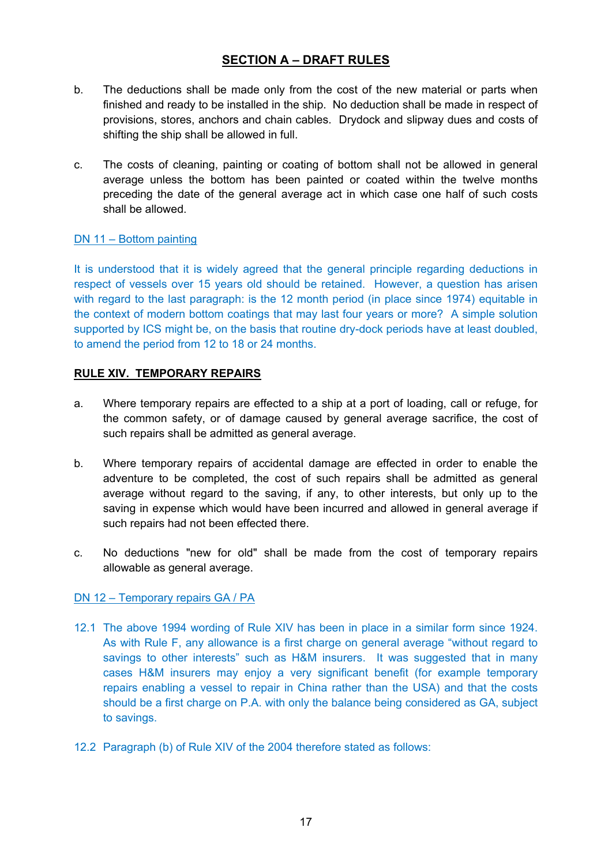- b. The deductions shall be made only from the cost of the new material or parts when finished and ready to be installed in the ship. No deduction shall be made in respect of provisions, stores, anchors and chain cables. Drydock and slipway dues and costs of shifting the ship shall be allowed in full.
- c. The costs of cleaning, painting or coating of bottom shall not be allowed in general average unless the bottom has been painted or coated within the twelve months preceding the date of the general average act in which case one half of such costs shall be allowed.

### DN 11 – Bottom painting

It is understood that it is widely agreed that the general principle regarding deductions in respect of vessels over 15 years old should be retained. However, a question has arisen with regard to the last paragraph: is the 12 month period (in place since 1974) equitable in the context of modern bottom coatings that may last four years or more? A simple solution supported by ICS might be, on the basis that routine dry-dock periods have at least doubled, to amend the period from 12 to 18 or 24 months.

### **RULE XIV. TEMPORARY REPAIRS**

- a. Where temporary repairs are effected to a ship at a port of loading, call or refuge, for the common safety, or of damage caused by general average sacrifice, the cost of such repairs shall be admitted as general average.
- b. Where temporary repairs of accidental damage are effected in order to enable the adventure to be completed, the cost of such repairs shall be admitted as general average without regard to the saving, if any, to other interests, but only up to the saving in expense which would have been incurred and allowed in general average if such repairs had not been effected there.
- c. No deductions "new for old" shall be made from the cost of temporary repairs allowable as general average.

### DN 12 – Temporary repairs GA / PA

- 12.1 The above 1994 wording of Rule XIV has been in place in a similar form since 1924. As with Rule F, any allowance is a first charge on general average "without regard to savings to other interests" such as H&M insurers. It was suggested that in many cases H&M insurers may enjoy a very significant benefit (for example temporary repairs enabling a vessel to repair in China rather than the USA) and that the costs should be a first charge on P.A. with only the balance being considered as GA, subject to savings.
- 12.2 Paragraph (b) of Rule XIV of the 2004 therefore stated as follows: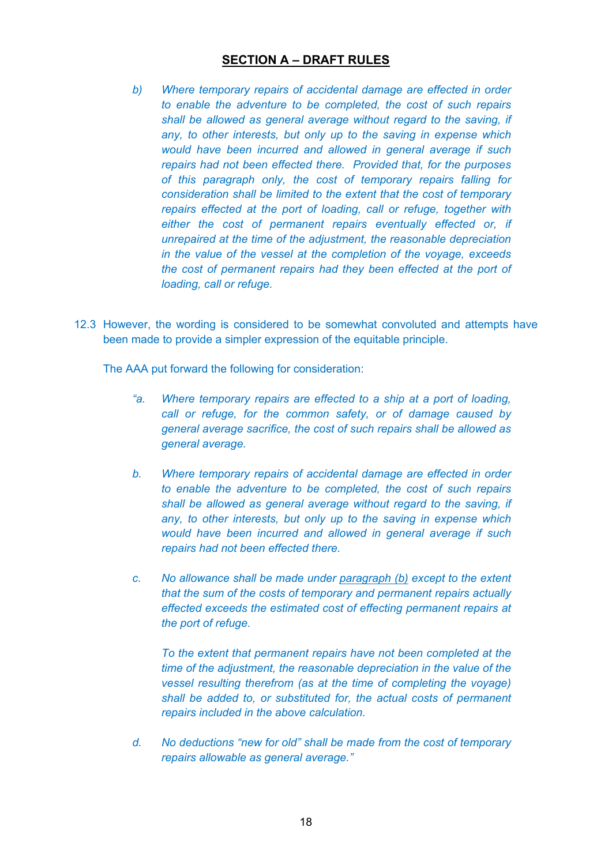- *b) Where temporary repairs of accidental damage are effected in order to enable the adventure to be completed, the cost of such repairs shall be allowed as general average without regard to the saving, if any, to other interests, but only up to the saving in expense which would have been incurred and allowed in general average if such repairs had not been effected there. Provided that, for the purposes of this paragraph only, the cost of temporary repairs falling for consideration shall be limited to the extent that the cost of temporary repairs effected at the port of loading, call or refuge, together with either the cost of permanent repairs eventually effected or, if unrepaired at the time of the adjustment, the reasonable depreciation in the value of the vessel at the completion of the voyage, exceeds the cost of permanent repairs had they been effected at the port of loading, call or refuge.*
- 12.3 However, the wording is considered to be somewhat convoluted and attempts have been made to provide a simpler expression of the equitable principle.

The AAA put forward the following for consideration:

- *"a. Where temporary repairs are effected to a ship at a port of loading, call or refuge, for the common safety, or of damage caused by general average sacrifice, the cost of such repairs shall be allowed as general average.*
- *b. Where temporary repairs of accidental damage are effected in order to enable the adventure to be completed, the cost of such repairs shall be allowed as general average without regard to the saving, if any, to other interests, but only up to the saving in expense which would have been incurred and allowed in general average if such repairs had not been effected there.*
- *c. No allowance shall be made under paragraph (b) except to the extent that the sum of the costs of temporary and permanent repairs actually effected exceeds the estimated cost of effecting permanent repairs at the port of refuge.*

*To the extent that permanent repairs have not been completed at the time of the adjustment, the reasonable depreciation in the value of the vessel resulting therefrom (as at the time of completing the voyage) shall be added to, or substituted for, the actual costs of permanent repairs included in the above calculation.*

*d. No deductions "new for old" shall be made from the cost of temporary repairs allowable as general average."*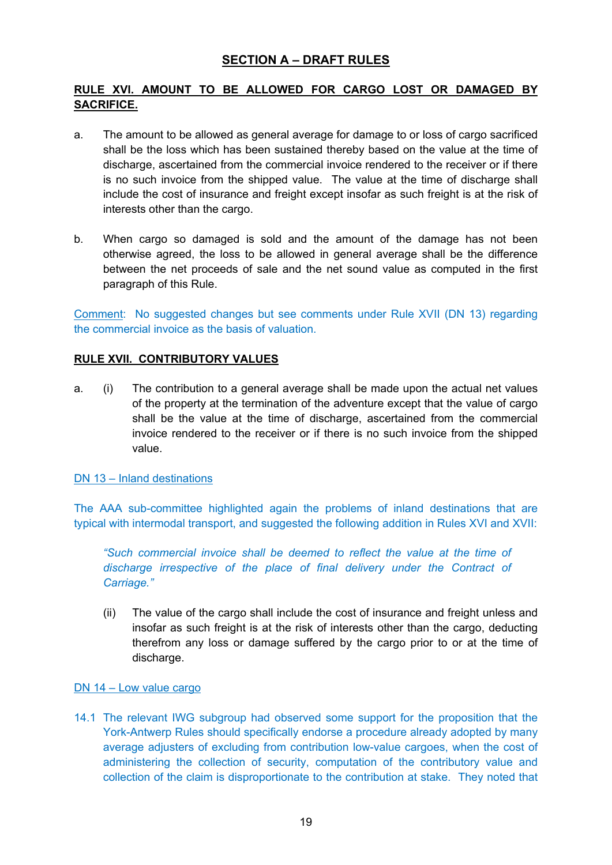### **RULE XVI. AMOUNT TO BE ALLOWED FOR CARGO LOST OR DAMAGED BY SACRIFICE.**

- a. The amount to be allowed as general average for damage to or loss of cargo sacrificed shall be the loss which has been sustained thereby based on the value at the time of discharge, ascertained from the commercial invoice rendered to the receiver or if there is no such invoice from the shipped value. The value at the time of discharge shall include the cost of insurance and freight except insofar as such freight is at the risk of interests other than the cargo.
- b. When cargo so damaged is sold and the amount of the damage has not been otherwise agreed, the loss to be allowed in general average shall be the difference between the net proceeds of sale and the net sound value as computed in the first paragraph of this Rule.

Comment: No suggested changes but see comments under Rule XVII (DN 13) regarding the commercial invoice as the basis of valuation.

### **RULE XVII. CONTRIBUTORY VALUES**

a. (i) The contribution to a general average shall be made upon the actual net values of the property at the termination of the adventure except that the value of cargo shall be the value at the time of discharge, ascertained from the commercial invoice rendered to the receiver or if there is no such invoice from the shipped value.

#### DN 13 – Inland destinations

The AAA sub-committee highlighted again the problems of inland destinations that are typical with intermodal transport, and suggested the following addition in Rules XVI and XVII:

*"Such commercial invoice shall be deemed to reflect the value at the time of discharge irrespective of the place of final delivery under the Contract of Carriage."*

(ii) The value of the cargo shall include the cost of insurance and freight unless and insofar as such freight is at the risk of interests other than the cargo, deducting therefrom any loss or damage suffered by the cargo prior to or at the time of discharge.

#### DN 14 – Low value cargo

14.1 The relevant IWG subgroup had observed some support for the proposition that the York-Antwerp Rules should specifically endorse a procedure already adopted by many average adjusters of excluding from contribution low-value cargoes, when the cost of administering the collection of security, computation of the contributory value and collection of the claim is disproportionate to the contribution at stake. They noted that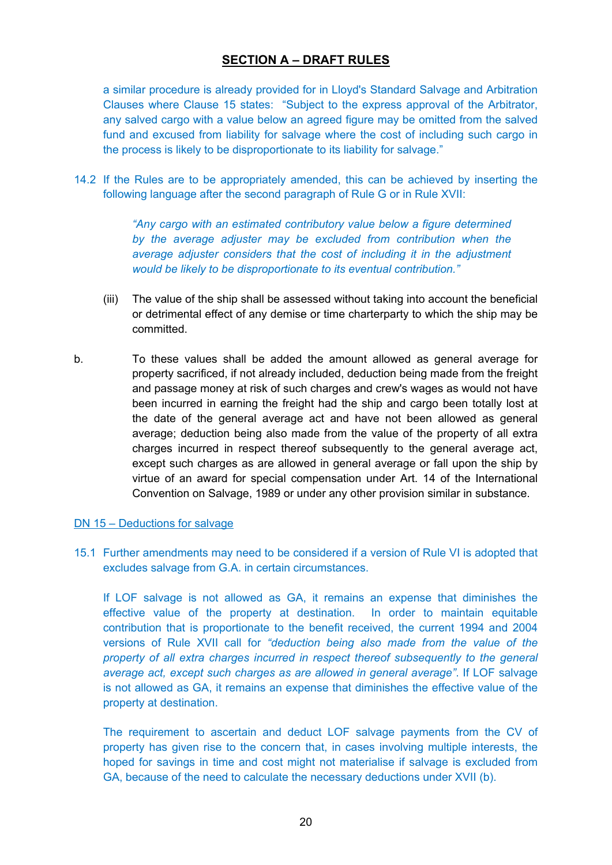a similar procedure is already provided for in Lloyd's Standard Salvage and Arbitration Clauses where Clause 15 states: "Subject to the express approval of the Arbitrator, any salved cargo with a value below an agreed figure may be omitted from the salved fund and excused from liability for salvage where the cost of including such cargo in the process is likely to be disproportionate to its liability for salvage."

14.2 If the Rules are to be appropriately amended, this can be achieved by inserting the following language after the second paragraph of Rule G or in Rule XVII:

> *"Any cargo with an estimated contributory value below a figure determined by the average adjuster may be excluded from contribution when the average adjuster considers that the cost of including it in the adjustment would be likely to be disproportionate to its eventual contribution."*

- (iii) The value of the ship shall be assessed without taking into account the beneficial or detrimental effect of any demise or time charterparty to which the ship may be committed.
- b. To these values shall be added the amount allowed as general average for property sacrificed, if not already included, deduction being made from the freight and passage money at risk of such charges and crew's wages as would not have been incurred in earning the freight had the ship and cargo been totally lost at the date of the general average act and have not been allowed as general average; deduction being also made from the value of the property of all extra charges incurred in respect thereof subsequently to the general average act, except such charges as are allowed in general average or fall upon the ship by virtue of an award for special compensation under Art. 14 of the International Convention on Salvage, 1989 or under any other provision similar in substance.

#### DN 15 – Deductions for salvage

15.1 Further amendments may need to be considered if a version of Rule VI is adopted that excludes salvage from G.A. in certain circumstances.

If LOF salvage is not allowed as GA, it remains an expense that diminishes the effective value of the property at destination. In order to maintain equitable contribution that is proportionate to the benefit received, the current 1994 and 2004 versions of Rule XVII call for *"deduction being also made from the value of the property of all extra charges incurred in respect thereof subsequently to the general average act, except such charges as are allowed in general average"*. If LOF salvage is not allowed as GA, it remains an expense that diminishes the effective value of the property at destination.

The requirement to ascertain and deduct LOF salvage payments from the CV of property has given rise to the concern that, in cases involving multiple interests, the hoped for savings in time and cost might not materialise if salvage is excluded from GA, because of the need to calculate the necessary deductions under XVII (b).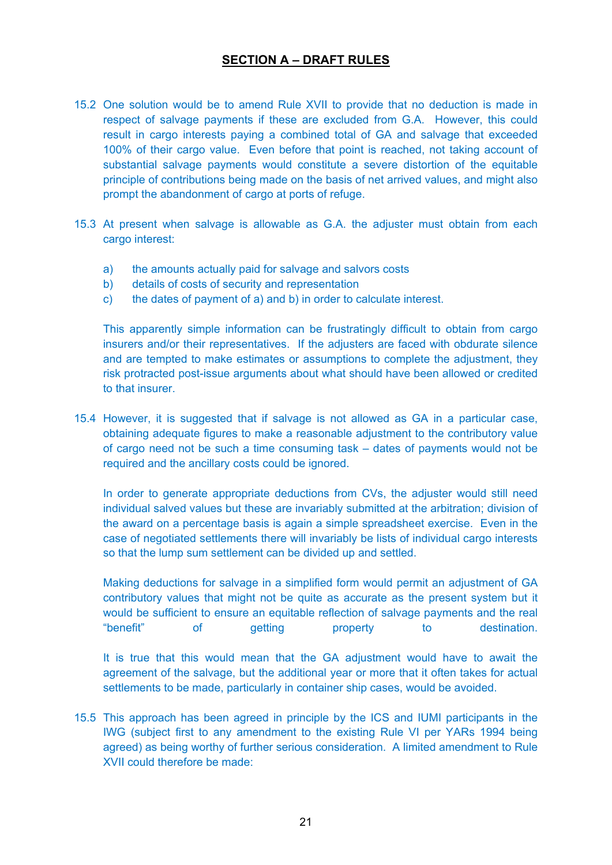- 15.2 One solution would be to amend Rule XVII to provide that no deduction is made in respect of salvage payments if these are excluded from G.A. However, this could result in cargo interests paying a combined total of GA and salvage that exceeded 100% of their cargo value. Even before that point is reached, not taking account of substantial salvage payments would constitute a severe distortion of the equitable principle of contributions being made on the basis of net arrived values, and might also prompt the abandonment of cargo at ports of refuge.
- 15.3 At present when salvage is allowable as G.A. the adjuster must obtain from each cargo interest:
	- a) the amounts actually paid for salvage and salvors costs
	- b) details of costs of security and representation
	- c) the dates of payment of a) and b) in order to calculate interest.

This apparently simple information can be frustratingly difficult to obtain from cargo insurers and/or their representatives. If the adjusters are faced with obdurate silence and are tempted to make estimates or assumptions to complete the adjustment, they risk protracted post-issue arguments about what should have been allowed or credited to that insurer.

15.4 However, it is suggested that if salvage is not allowed as GA in a particular case, obtaining adequate figures to make a reasonable adjustment to the contributory value of cargo need not be such a time consuming task – dates of payments would not be required and the ancillary costs could be ignored.

In order to generate appropriate deductions from CVs, the adjuster would still need individual salved values but these are invariably submitted at the arbitration; division of the award on a percentage basis is again a simple spreadsheet exercise. Even in the case of negotiated settlements there will invariably be lists of individual cargo interests so that the lump sum settlement can be divided up and settled.

Making deductions for salvage in a simplified form would permit an adjustment of GA contributory values that might not be quite as accurate as the present system but it would be sufficient to ensure an equitable reflection of salvage payments and the real "benefit" of getting property to destination.

It is true that this would mean that the GA adjustment would have to await the agreement of the salvage, but the additional year or more that it often takes for actual settlements to be made, particularly in container ship cases, would be avoided.

15.5 This approach has been agreed in principle by the ICS and IUMI participants in the IWG (subject first to any amendment to the existing Rule VI per YARs 1994 being agreed) as being worthy of further serious consideration. A limited amendment to Rule XVII could therefore be made: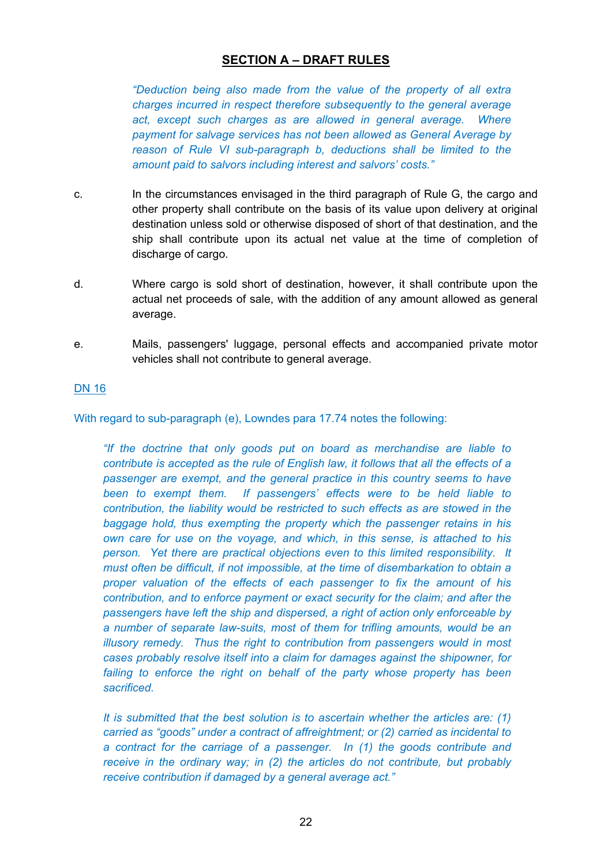*"Deduction being also made from the value of the property of all extra charges incurred in respect therefore subsequently to the general average act, except such charges as are allowed in general average. Where payment for salvage services has not been allowed as General Average by reason of Rule VI sub-paragraph b, deductions shall be limited to the amount paid to salvors including interest and salvors' costs."*

- c. In the circumstances envisaged in the third paragraph of Rule G, the cargo and other property shall contribute on the basis of its value upon delivery at original destination unless sold or otherwise disposed of short of that destination, and the ship shall contribute upon its actual net value at the time of completion of discharge of cargo.
- d. Where cargo is sold short of destination, however, it shall contribute upon the actual net proceeds of sale, with the addition of any amount allowed as general average.
- e. Mails, passengers' luggage, personal effects and accompanied private motor vehicles shall not contribute to general average.

### DN 16

#### With regard to sub-paragraph (e), Lowndes para 17.74 notes the following:

*"If the doctrine that only goods put on board as merchandise are liable to contribute is accepted as the rule of English law, it follows that all the effects of a passenger are exempt, and the general practice in this country seems to have been to exempt them. If passengers' effects were to be held liable to contribution, the liability would be restricted to such effects as are stowed in the baggage hold, thus exempting the property which the passenger retains in his own care for use on the voyage, and which, in this sense, is attached to his person. Yet there are practical objections even to this limited responsibility. It must often be difficult, if not impossible, at the time of disembarkation to obtain a proper valuation of the effects of each passenger to fix the amount of his contribution, and to enforce payment or exact security for the claim; and after the passengers have left the ship and dispersed, a right of action only enforceable by a number of separate law-suits, most of them for trifling amounts, would be an illusory remedy. Thus the right to contribution from passengers would in most cases probably resolve itself into a claim for damages against the shipowner, for failing to enforce the right on behalf of the party whose property has been sacrificed.*

*It is submitted that the best solution is to ascertain whether the articles are: (1) carried as "goods" under a contract of affreightment; or (2) carried as incidental to a contract for the carriage of a passenger. In (1) the goods contribute and receive in the ordinary way; in (2) the articles do not contribute, but probably receive contribution if damaged by a general average act."*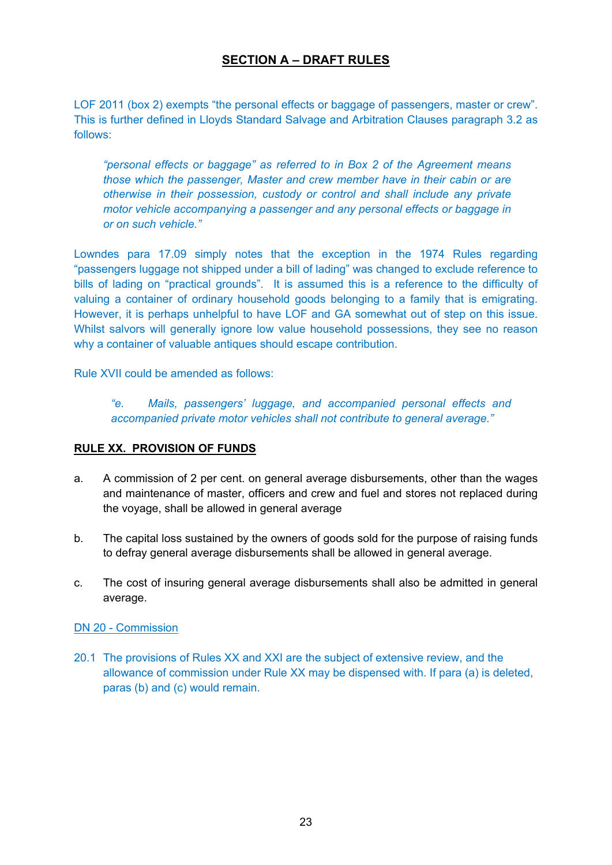LOF 2011 (box 2) exempts "the personal effects or baggage of passengers, master or crew". This is further defined in Lloyds Standard Salvage and Arbitration Clauses paragraph 3.2 as follows:

*"personal effects or baggage" as referred to in Box 2 of the Agreement means those which the passenger, Master and crew member have in their cabin or are otherwise in their possession, custody or control and shall include any private motor vehicle accompanying a passenger and any personal effects or baggage in or on such vehicle."*

Lowndes para 17.09 simply notes that the exception in the 1974 Rules regarding "passengers luggage not shipped under a bill of lading" was changed to exclude reference to bills of lading on "practical grounds". It is assumed this is a reference to the difficulty of valuing a container of ordinary household goods belonging to a family that is emigrating. However, it is perhaps unhelpful to have LOF and GA somewhat out of step on this issue. Whilst salvors will generally ignore low value household possessions, they see no reason why a container of valuable antiques should escape contribution.

Rule XVII could be amended as follows:

*"e. Mails, passengers' luggage, and accompanied personal effects and accompanied private motor vehicles shall not contribute to general average."*

### **RULE XX. PROVISION OF FUNDS**

- a. A commission of 2 per cent. on general average disbursements, other than the wages and maintenance of master, officers and crew and fuel and stores not replaced during the voyage, shall be allowed in general average
- b. The capital loss sustained by the owners of goods sold for the purpose of raising funds to defray general average disbursements shall be allowed in general average.
- c. The cost of insuring general average disbursements shall also be admitted in general average.

### DN 20 - Commission

20.1 The provisions of Rules XX and XXI are the subject of extensive review, and the allowance of commission under Rule XX may be dispensed with. If para (a) is deleted, paras (b) and (c) would remain.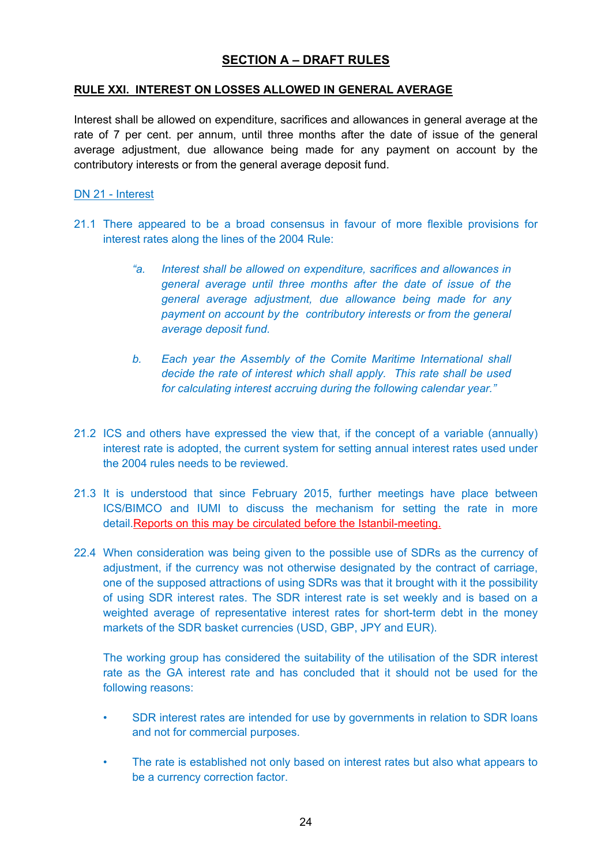### **RULE XXI. INTEREST ON LOSSES ALLOWED IN GENERAL AVERAGE**

Interest shall be allowed on expenditure, sacrifices and allowances in general average at the rate of 7 per cent. per annum, until three months after the date of issue of the general average adjustment, due allowance being made for any payment on account by the contributory interests or from the general average deposit fund.

#### DN 21 - Interest

- 21.1 There appeared to be a broad consensus in favour of more flexible provisions for interest rates along the lines of the 2004 Rule:
	- *"a. Interest shall be allowed on expenditure, sacrifices and allowances in general average until three months after the date of issue of the general average adjustment, due allowance being made for any payment on account by the contributory interests or from the general average deposit fund.*
	- *b. Each year the Assembly of the Comite Maritime International shall decide the rate of interest which shall apply. This rate shall be used for calculating interest accruing during the following calendar year."*
- 21.2 ICS and others have expressed the view that, if the concept of a variable (annually) interest rate is adopted, the current system for setting annual interest rates used under the 2004 rules needs to be reviewed.
- 21.3 It is understood that since February 2015, further meetings have place between ICS/BIMCO and IUMI to discuss the mechanism for setting the rate in more detail.Reports on this may be circulated before the Istanbil-meeting.
- 22.4 When consideration was being given to the possible use of SDRs as the currency of adjustment, if the currency was not otherwise designated by the contract of carriage, one of the supposed attractions of using SDRs was that it brought with it the possibility of using SDR interest rates. The SDR interest rate is set weekly and is based on a weighted average of representative interest rates for short-term debt in the money markets of the SDR basket currencies (USD, GBP, JPY and EUR).

The working group has considered the suitability of the utilisation of the SDR interest rate as the GA interest rate and has concluded that it should not be used for the following reasons:

- SDR interest rates are intended for use by governments in relation to SDR loans and not for commercial purposes.
- The rate is established not only based on interest rates but also what appears to be a currency correction factor.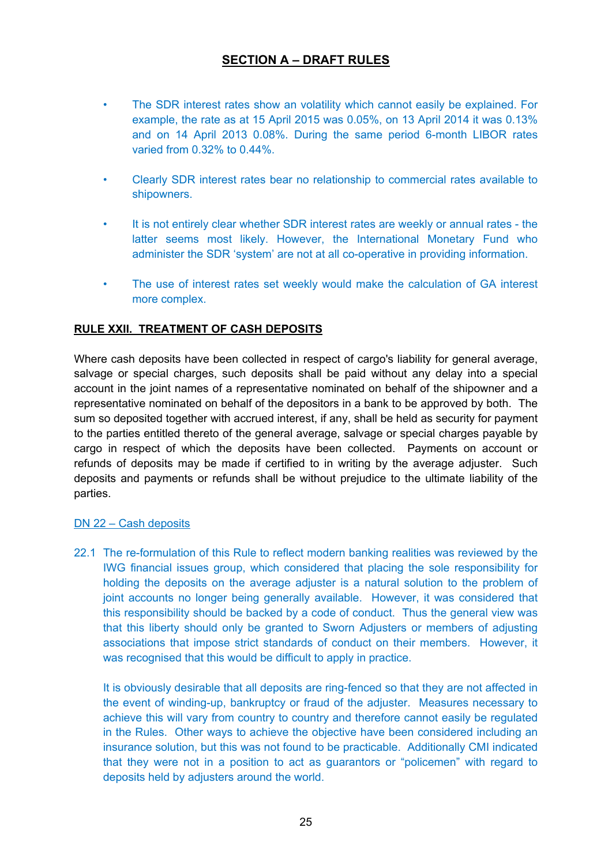- The SDR interest rates show an volatility which cannot easily be explained. For example, the rate as at 15 April 2015 was 0.05%, on 13 April 2014 it was 0.13% and on 14 April 2013 0.08%. During the same period 6-month LIBOR rates varied from 0.32% to 0.44%.
- Clearly SDR interest rates bear no relationship to commercial rates available to shipowners.
- It is not entirely clear whether SDR interest rates are weekly or annual rates the latter seems most likely. However, the International Monetary Fund who administer the SDR 'system' are not at all co-operative in providing information.
- The use of interest rates set weekly would make the calculation of GA interest more complex.

### **RULE XXII. TREATMENT OF CASH DEPOSITS**

Where cash deposits have been collected in respect of cargo's liability for general average, salvage or special charges, such deposits shall be paid without any delay into a special account in the joint names of a representative nominated on behalf of the shipowner and a representative nominated on behalf of the depositors in a bank to be approved by both. The sum so deposited together with accrued interest, if any, shall be held as security for payment to the parties entitled thereto of the general average, salvage or special charges payable by cargo in respect of which the deposits have been collected. Payments on account or refunds of deposits may be made if certified to in writing by the average adjuster. Such deposits and payments or refunds shall be without prejudice to the ultimate liability of the parties.

### DN 22 – Cash deposits

22.1 The re-formulation of this Rule to reflect modern banking realities was reviewed by the IWG financial issues group, which considered that placing the sole responsibility for holding the deposits on the average adjuster is a natural solution to the problem of joint accounts no longer being generally available. However, it was considered that this responsibility should be backed by a code of conduct. Thus the general view was that this liberty should only be granted to Sworn Adjusters or members of adjusting associations that impose strict standards of conduct on their members. However, it was recognised that this would be difficult to apply in practice.

It is obviously desirable that all deposits are ring-fenced so that they are not affected in the event of winding-up, bankruptcy or fraud of the adjuster. Measures necessary to achieve this will vary from country to country and therefore cannot easily be regulated in the Rules. Other ways to achieve the objective have been considered including an insurance solution, but this was not found to be practicable. Additionally CMI indicated that they were not in a position to act as guarantors or "policemen" with regard to deposits held by adjusters around the world.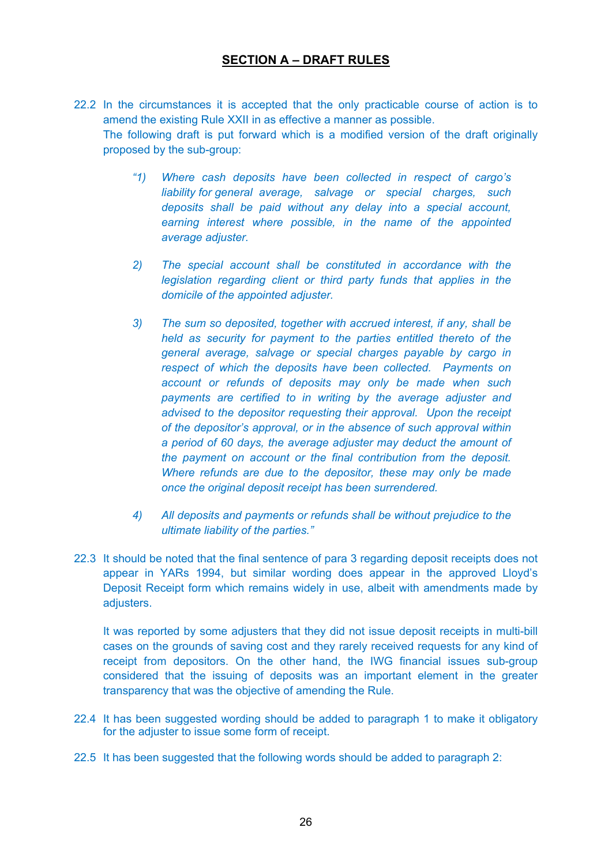- 22.2 In the circumstances it is accepted that the only practicable course of action is to amend the existing Rule XXII in as effective a manner as possible. The following draft is put forward which is a modified version of the draft originally proposed by the sub-group:
	- *"1) Where cash deposits have been collected in respect of cargo's liability for general average, salvage or special charges, such deposits shall be paid without any delay into a special account, earning interest where possible, in the name of the appointed average adjuster.*
	- *2) The special account shall be constituted in accordance with the legislation regarding client or third party funds that applies in the domicile of the appointed adjuster.*
	- *3) The sum so deposited, together with accrued interest, if any, shall be held as security for payment to the parties entitled thereto of the general average, salvage or special charges payable by cargo in respect of which the deposits have been collected. Payments on account or refunds of deposits may only be made when such payments are certified to in writing by the average adjuster and advised to the depositor requesting their approval. Upon the receipt of the depositor's approval, or in the absence of such approval within a period of 60 days, the average adjuster may deduct the amount of the payment on account or the final contribution from the deposit. Where refunds are due to the depositor, these may only be made once the original deposit receipt has been surrendered.*
	- *4) All deposits and payments or refunds shall be without prejudice to the ultimate liability of the parties."*
- 22.3 It should be noted that the final sentence of para 3 regarding deposit receipts does not appear in YARs 1994, but similar wording does appear in the approved Lloyd's Deposit Receipt form which remains widely in use, albeit with amendments made by adjusters.

It was reported by some adjusters that they did not issue deposit receipts in multi-bill cases on the grounds of saving cost and they rarely received requests for any kind of receipt from depositors. On the other hand, the IWG financial issues sub-group considered that the issuing of deposits was an important element in the greater transparency that was the objective of amending the Rule.

- 22.4 It has been suggested wording should be added to paragraph 1 to make it obligatory for the adjuster to issue some form of receipt.
- 22.5 It has been suggested that the following words should be added to paragraph 2: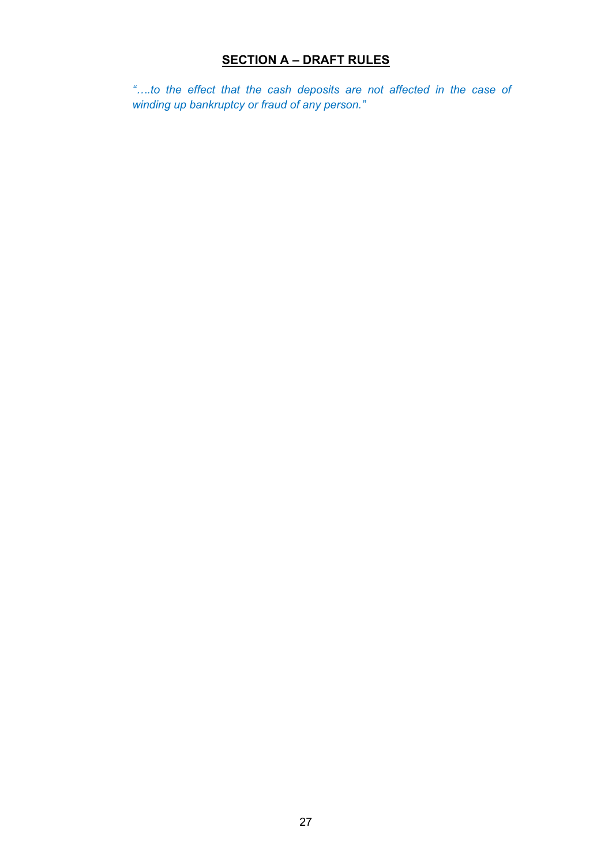*"….to the effect that the cash deposits are not affected in the case of winding up bankruptcy or fraud of any person."*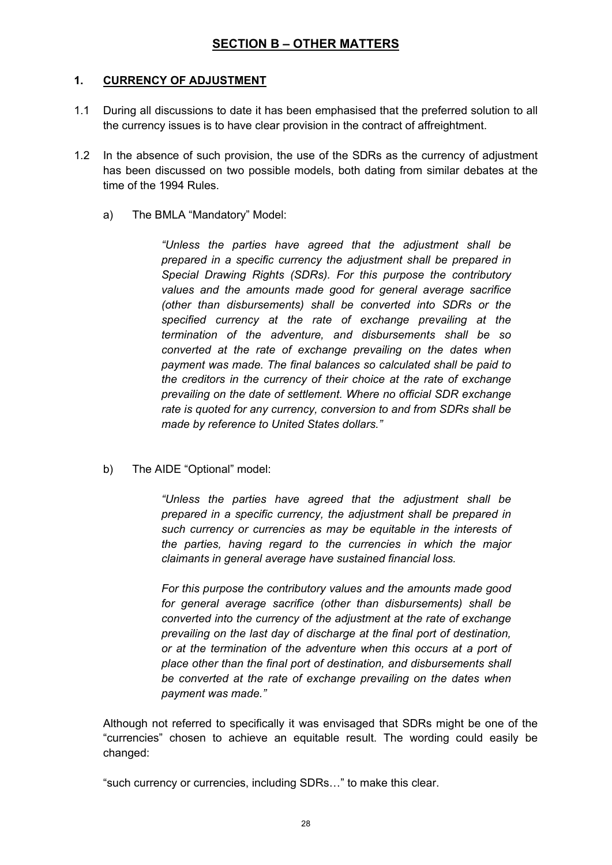### **1. CURRENCY OF ADJUSTMENT**

- 1.1 During all discussions to date it has been emphasised that the preferred solution to all the currency issues is to have clear provision in the contract of affreightment.
- 1.2 In the absence of such provision, the use of the SDRs as the currency of adjustment has been discussed on two possible models, both dating from similar debates at the time of the 1994 Rules.
	- a) The BMLA "Mandatory" Model:

*"Unless the parties have agreed that the adjustment shall be prepared in a specific currency the adjustment shall be prepared in Special Drawing Rights (SDRs). For this purpose the contributory values and the amounts made good for general average sacrifice (other than disbursements) shall be converted into SDRs or the specified currency at the rate of exchange prevailing at the termination of the adventure, and disbursements shall be so converted at the rate of exchange prevailing on the dates when payment was made. The final balances so calculated shall be paid to the creditors in the currency of their choice at the rate of exchange prevailing on the date of settlement. Where no official SDR exchange rate is quoted for any currency, conversion to and from SDRs shall be made by reference to United States dollars."*

b) The AIDE "Optional" model:

*"Unless the parties have agreed that the adjustment shall be prepared in a specific currency, the adjustment shall be prepared in such currency or currencies as may be equitable in the interests of the parties, having regard to the currencies in which the major claimants in general average have sustained financial loss.*

*For this purpose the contributory values and the amounts made good for general average sacrifice (other than disbursements) shall be converted into the currency of the adjustment at the rate of exchange prevailing on the last day of discharge at the final port of destination, or at the termination of the adventure when this occurs at a port of place other than the final port of destination, and disbursements shall be converted at the rate of exchange prevailing on the dates when payment was made."*

Although not referred to specifically it was envisaged that SDRs might be one of the "currencies" chosen to achieve an equitable result. The wording could easily be changed:

"such currency or currencies, including SDRs…" to make this clear.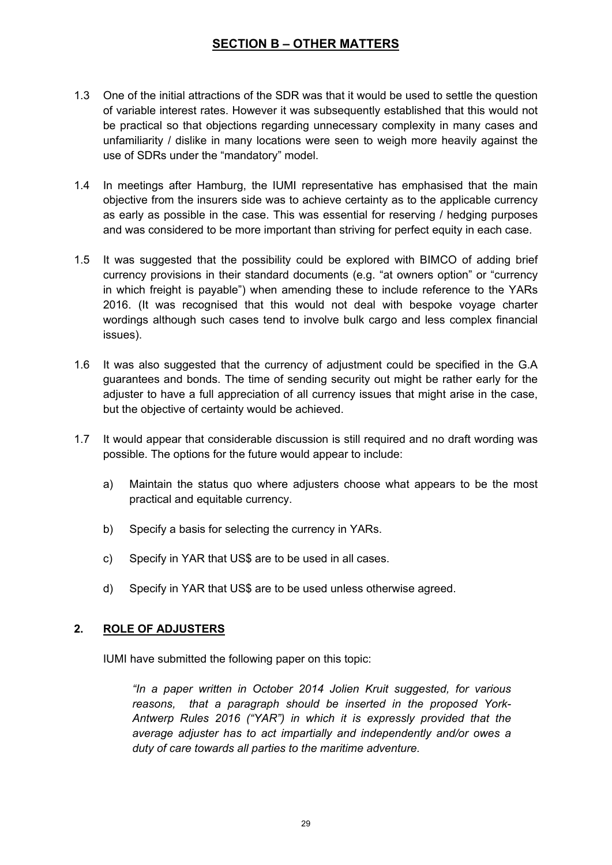- 1.3 One of the initial attractions of the SDR was that it would be used to settle the question of variable interest rates. However it was subsequently established that this would not be practical so that objections regarding unnecessary complexity in many cases and unfamiliarity / dislike in many locations were seen to weigh more heavily against the use of SDRs under the "mandatory" model.
- 1.4 In meetings after Hamburg, the IUMI representative has emphasised that the main objective from the insurers side was to achieve certainty as to the applicable currency as early as possible in the case. This was essential for reserving / hedging purposes and was considered to be more important than striving for perfect equity in each case.
- 1.5 It was suggested that the possibility could be explored with BIMCO of adding brief currency provisions in their standard documents (e.g. "at owners option" or "currency in which freight is payable") when amending these to include reference to the YARs 2016. (It was recognised that this would not deal with bespoke voyage charter wordings although such cases tend to involve bulk cargo and less complex financial issues).
- 1.6 It was also suggested that the currency of adjustment could be specified in the G.A guarantees and bonds. The time of sending security out might be rather early for the adjuster to have a full appreciation of all currency issues that might arise in the case, but the objective of certainty would be achieved.
- 1.7 It would appear that considerable discussion is still required and no draft wording was possible. The options for the future would appear to include:
	- a) Maintain the status quo where adjusters choose what appears to be the most practical and equitable currency.
	- b) Specify a basis for selecting the currency in YARs.
	- c) Specify in YAR that US\$ are to be used in all cases.
	- d) Specify in YAR that US\$ are to be used unless otherwise agreed.

### **2. ROLE OF ADJUSTERS**

IUMI have submitted the following paper on this topic:

*"In a paper written in October 2014 Jolien Kruit suggested, for various reasons, that a paragraph should be inserted in the proposed York-Antwerp Rules 2016 ("YAR") in which it is expressly provided that the average adjuster has to act impartially and independently and/or owes a duty of care towards all parties to the maritime adventure.*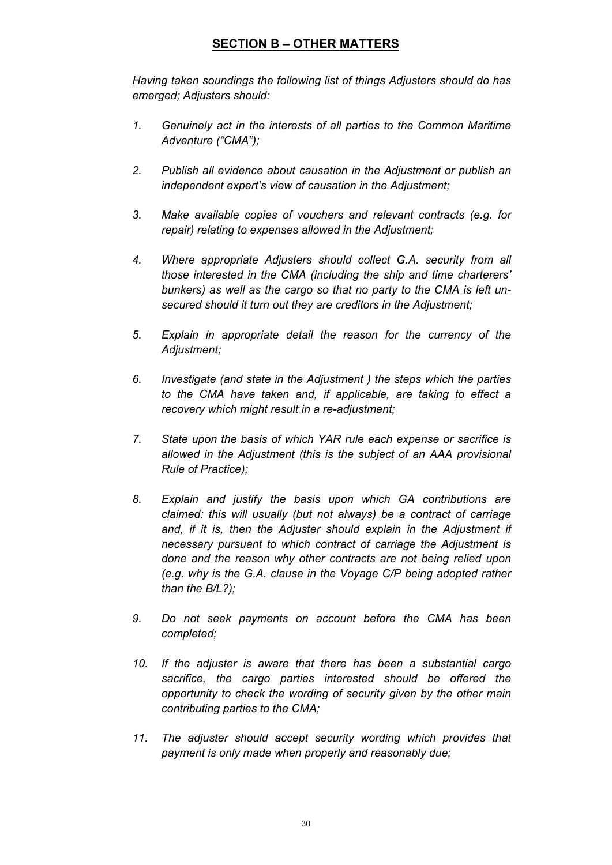*Having taken soundings the following list of things Adjusters should do has emerged; Adjusters should:*

- *1. Genuinely act in the interests of all parties to the Common Maritime Adventure ("CMA");*
- *2. Publish all evidence about causation in the Adjustment or publish an independent expert's view of causation in the Adjustment;*
- *3. Make available copies of vouchers and relevant contracts (e.g. for repair) relating to expenses allowed in the Adjustment;*
- *4. Where appropriate Adjusters should collect G.A. security from all those interested in the CMA (including the ship and time charterers' bunkers) as well as the cargo so that no party to the CMA is left unsecured should it turn out they are creditors in the Adjustment;*
- *5. Explain in appropriate detail the reason for the currency of the Adjustment;*
- *6. Investigate (and state in the Adjustment ) the steps which the parties to the CMA have taken and, if applicable, are taking to effect a recovery which might result in a re-adjustment;*
- *7. State upon the basis of which YAR rule each expense or sacrifice is allowed in the Adjustment (this is the subject of an AAA provisional Rule of Practice);*
- *8. Explain and justify the basis upon which GA contributions are claimed: this will usually (but not always) be a contract of carriage and, if it is, then the Adjuster should explain in the Adjustment if necessary pursuant to which contract of carriage the Adjustment is done and the reason why other contracts are not being relied upon (e.g. why is the G.A. clause in the Voyage C/P being adopted rather than the B/L?);*
- *9. Do not seek payments on account before the CMA has been completed;*
- *10. If the adjuster is aware that there has been a substantial cargo sacrifice, the cargo parties interested should be offered the opportunity to check the wording of security given by the other main contributing parties to the CMA;*
- *11. The adjuster should accept security wording which provides that payment is only made when properly and reasonably due;*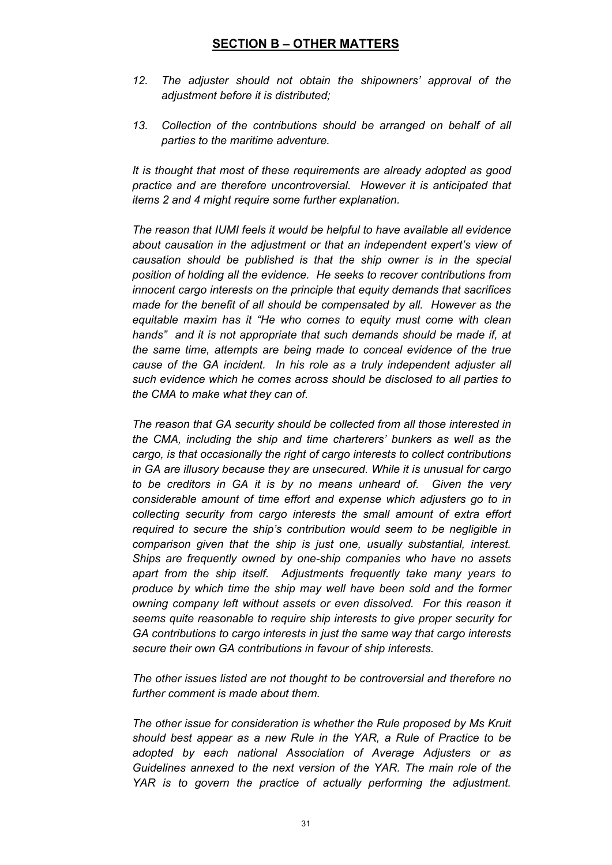- *12. The adjuster should not obtain the shipowners' approval of the adjustment before it is distributed;*
- *13. Collection of the contributions should be arranged on behalf of all parties to the maritime adventure.*

*It is thought that most of these requirements are already adopted as good practice and are therefore uncontroversial. However it is anticipated that items 2 and 4 might require some further explanation.*

*The reason that IUMI feels it would be helpful to have available all evidence about causation in the adjustment or that an independent expert's view of causation should be published is that the ship owner is in the special position of holding all the evidence. He seeks to recover contributions from innocent cargo interests on the principle that equity demands that sacrifices made for the benefit of all should be compensated by all. However as the equitable maxim has it "He who comes to equity must come with clean hands" and it is not appropriate that such demands should be made if, at the same time, attempts are being made to conceal evidence of the true cause of the GA incident. In his role as a truly independent adjuster all such evidence which he comes across should be disclosed to all parties to the CMA to make what they can of.*

*The reason that GA security should be collected from all those interested in the CMA, including the ship and time charterers' bunkers as well as the cargo, is that occasionally the right of cargo interests to collect contributions in GA are illusory because they are unsecured. While it is unusual for cargo to be creditors in GA it is by no means unheard of. Given the very considerable amount of time effort and expense which adjusters go to in collecting security from cargo interests the small amount of extra effort required to secure the ship's contribution would seem to be negligible in comparison given that the ship is just one, usually substantial, interest. Ships are frequently owned by one-ship companies who have no assets apart from the ship itself. Adjustments frequently take many years to produce by which time the ship may well have been sold and the former owning company left without assets or even dissolved. For this reason it seems quite reasonable to require ship interests to give proper security for GA contributions to cargo interests in just the same way that cargo interests secure their own GA contributions in favour of ship interests.*

*The other issues listed are not thought to be controversial and therefore no further comment is made about them.*

*The other issue for consideration is whether the Rule proposed by Ms Kruit should best appear as a new Rule in the YAR, a Rule of Practice to be adopted by each national Association of Average Adjusters or as Guidelines annexed to the next version of the YAR. The main role of the YAR is to govern the practice of actually performing the adjustment.*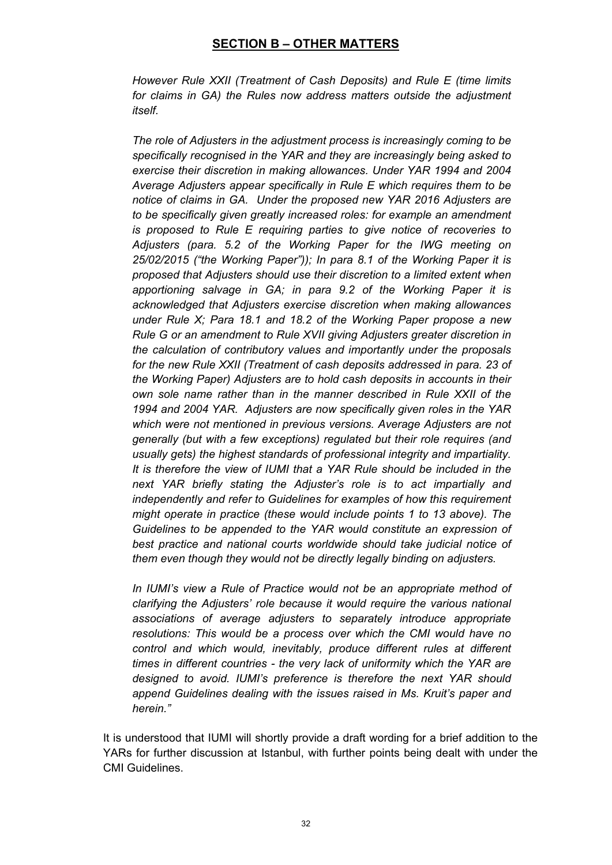*However Rule XXII (Treatment of Cash Deposits) and Rule E (time limits for claims in GA) the Rules now address matters outside the adjustment itself.*

*The role of Adjusters in the adjustment process is increasingly coming to be specifically recognised in the YAR and they are increasingly being asked to exercise their discretion in making allowances. Under YAR 1994 and 2004 Average Adjusters appear specifically in Rule E which requires them to be notice of claims in GA. Under the proposed new YAR 2016 Adjusters are to be specifically given greatly increased roles: for example an amendment is proposed to Rule E requiring parties to give notice of recoveries to Adjusters (para. 5.2 of the Working Paper for the IWG meeting on 25/02/2015 ("the Working Paper")); In para 8.1 of the Working Paper it is proposed that Adjusters should use their discretion to a limited extent when apportioning salvage in GA; in para 9.2 of the Working Paper it is acknowledged that Adjusters exercise discretion when making allowances under Rule X; Para 18.1 and 18.2 of the Working Paper propose a new Rule G or an amendment to Rule XVII giving Adjusters greater discretion in the calculation of contributory values and importantly under the proposals for the new Rule XXII (Treatment of cash deposits addressed in para. 23 of the Working Paper) Adjusters are to hold cash deposits in accounts in their own sole name rather than in the manner described in Rule XXII of the 1994 and 2004 YAR. Adjusters are now specifically given roles in the YAR which were not mentioned in previous versions. Average Adjusters are not generally (but with a few exceptions) regulated but their role requires (and usually gets) the highest standards of professional integrity and impartiality. It is therefore the view of IUMI that a YAR Rule should be included in the next YAR briefly stating the Adjuster's role is to act impartially and independently and refer to Guidelines for examples of how this requirement might operate in practice (these would include points 1 to 13 above). The Guidelines to be appended to the YAR would constitute an expression of best practice and national courts worldwide should take judicial notice of them even though they would not be directly legally binding on adjusters.*

*In IUMI's view a Rule of Practice would not be an appropriate method of clarifying the Adjusters' role because it would require the various national associations of average adjusters to separately introduce appropriate resolutions: This would be a process over which the CMI would have no control and which would, inevitably, produce different rules at different times in different countries - the very lack of uniformity which the YAR are designed to avoid. IUMI's preference is therefore the next YAR should append Guidelines dealing with the issues raised in Ms. Kruit's paper and herein."*

It is understood that IUMI will shortly provide a draft wording for a brief addition to the YARs for further discussion at Istanbul, with further points being dealt with under the CMI Guidelines.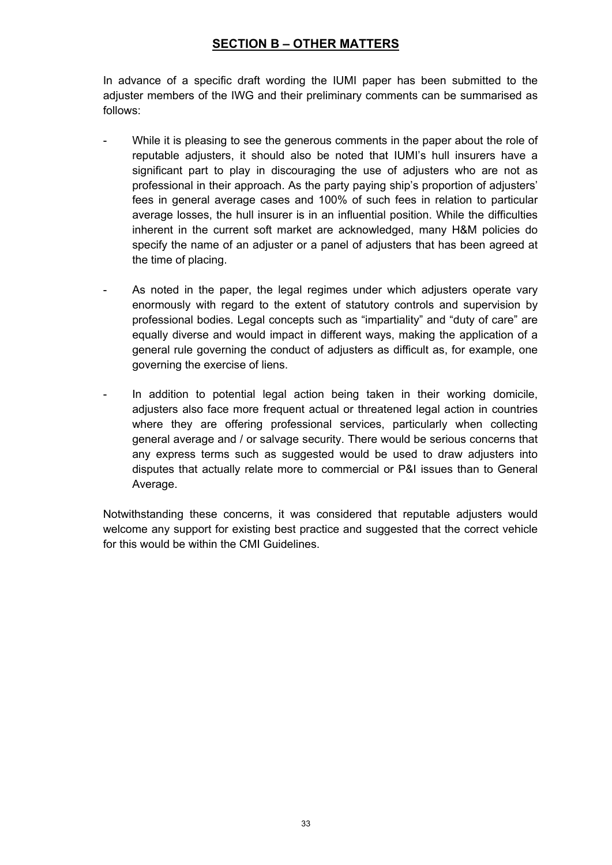In advance of a specific draft wording the IUMI paper has been submitted to the adjuster members of the IWG and their preliminary comments can be summarised as follows:

- While it is pleasing to see the generous comments in the paper about the role of reputable adjusters, it should also be noted that IUMI's hull insurers have a significant part to play in discouraging the use of adjusters who are not as professional in their approach. As the party paying ship's proportion of adjusters' fees in general average cases and 100% of such fees in relation to particular average losses, the hull insurer is in an influential position. While the difficulties inherent in the current soft market are acknowledged, many H&M policies do specify the name of an adjuster or a panel of adjusters that has been agreed at the time of placing.
- As noted in the paper, the legal regimes under which adjusters operate vary enormously with regard to the extent of statutory controls and supervision by professional bodies. Legal concepts such as "impartiality" and "duty of care" are equally diverse and would impact in different ways, making the application of a general rule governing the conduct of adjusters as difficult as, for example, one governing the exercise of liens.
- In addition to potential legal action being taken in their working domicile, adjusters also face more frequent actual or threatened legal action in countries where they are offering professional services, particularly when collecting general average and / or salvage security. There would be serious concerns that any express terms such as suggested would be used to draw adjusters into disputes that actually relate more to commercial or P&I issues than to General Average.

Notwithstanding these concerns, it was considered that reputable adjusters would welcome any support for existing best practice and suggested that the correct vehicle for this would be within the CMI Guidelines.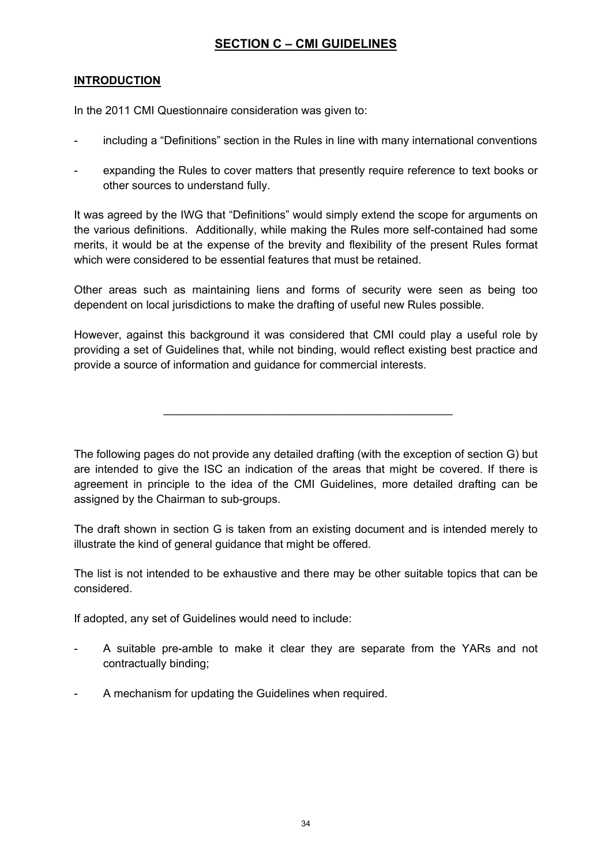### **INTRODUCTION**

In the 2011 CMI Questionnaire consideration was given to:

- including a "Definitions" section in the Rules in line with many international conventions
- expanding the Rules to cover matters that presently require reference to text books or other sources to understand fully.

It was agreed by the IWG that "Definitions" would simply extend the scope for arguments on the various definitions. Additionally, while making the Rules more self-contained had some merits, it would be at the expense of the brevity and flexibility of the present Rules format which were considered to be essential features that must be retained.

Other areas such as maintaining liens and forms of security were seen as being too dependent on local jurisdictions to make the drafting of useful new Rules possible.

However, against this background it was considered that CMI could play a useful role by providing a set of Guidelines that, while not binding, would reflect existing best practice and provide a source of information and guidance for commercial interests.

\_\_\_\_\_\_\_\_\_\_\_\_\_\_\_\_\_\_\_\_\_\_\_\_\_\_\_\_\_\_\_\_\_\_\_\_\_\_\_\_\_\_\_\_\_\_

The following pages do not provide any detailed drafting (with the exception of section G) but are intended to give the ISC an indication of the areas that might be covered. If there is agreement in principle to the idea of the CMI Guidelines, more detailed drafting can be assigned by the Chairman to sub-groups.

The draft shown in section G is taken from an existing document and is intended merely to illustrate the kind of general guidance that might be offered.

The list is not intended to be exhaustive and there may be other suitable topics that can be considered.

If adopted, any set of Guidelines would need to include:

- A suitable pre-amble to make it clear they are separate from the YARs and not contractually binding;
- A mechanism for updating the Guidelines when required.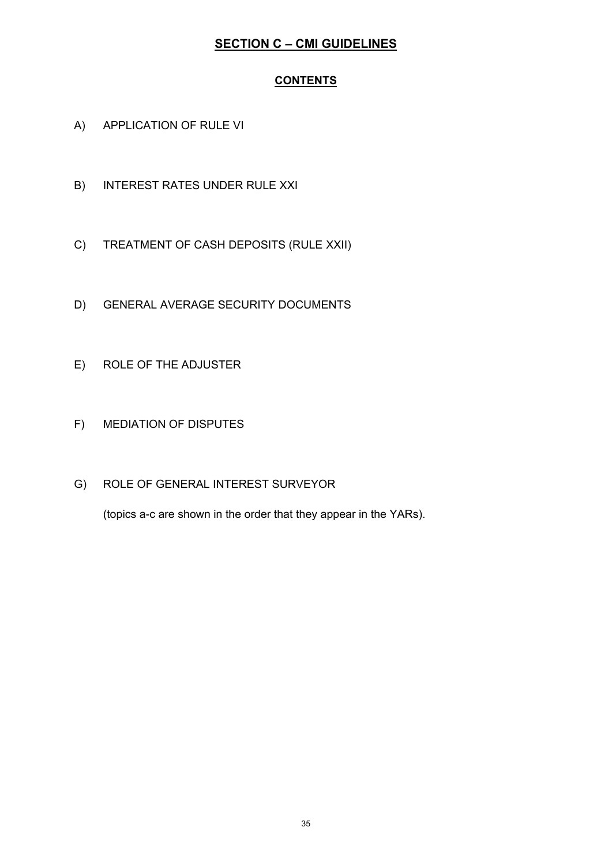### **CONTENTS**

- A) APPLICATION OF RULE VI
- B) INTEREST RATES UNDER RULE XXI
- C) TREATMENT OF CASH DEPOSITS (RULE XXII)
- D) GENERAL AVERAGE SECURITY DOCUMENTS
- E) ROLE OF THE ADJUSTER
- F) MEDIATION OF DISPUTES
- G) ROLE OF GENERAL INTEREST SURVEYOR

(topics a-c are shown in the order that they appear in the YARs).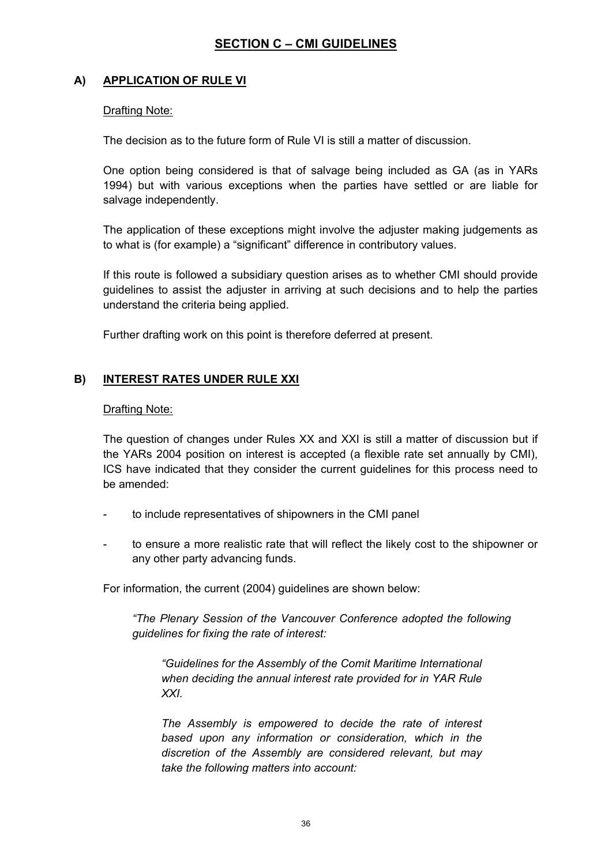### **A) APPLICATION OF RULE VI**

### Drafting Note:

The decision as to the future form of Rule VI is still a matter of discussion.

One option being considered is that of salvage being included as GA (as in YARs 1994) but with various exceptions when the parties have settled or are liable for salvage independently.

The application of these exceptions might involve the adjuster making judgements as to what is (for example) a "significant" difference in contributory values.

If this route is followed a subsidiary question arises as to whether CMI should provide guidelines to assist the adjuster in arriving at such decisions and to help the parties understand the criteria being applied.

Further drafting work on this point is therefore deferred at present.

### **B) INTEREST RATES UNDER RULE XXI**

#### Drafting Note:

The question of changes under Rules XX and XXI is still a matter of discussion but if the YARs 2004 position on interest is accepted (a flexible rate set annually by CMI), ICS have indicated that they consider the current guidelines for this process need to be amended:

- to include representatives of shipowners in the CMI panel
- to ensure a more realistic rate that will reflect the likely cost to the shipowner or any other party advancing funds.

For information, the current (2004) guidelines are shown below:

*"The Plenary Session of the Vancouver Conference adopted the following guidelines for fixing the rate of interest:*

*"Guidelines for the Assembly of the Comit Maritime International when deciding the annual interest rate provided for in YAR Rule XXI.*

*The Assembly is empowered to decide the rate of interest based upon any information or consideration, which in the discretion of the Assembly are considered relevant, but may take the following matters into account:*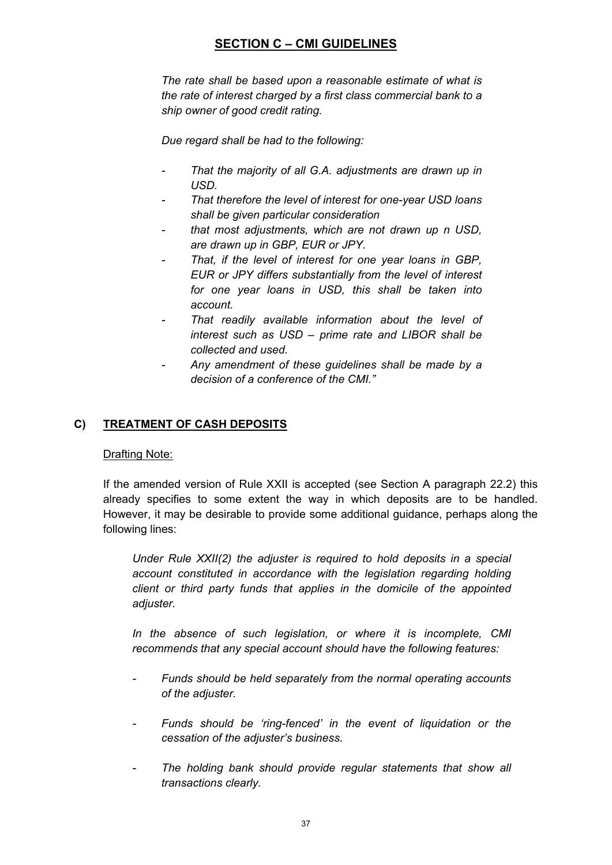*The rate shall be based upon a reasonable estimate of what is the rate of interest charged by a first class commercial bank to a ship owner of good credit rating.*

*Due regard shall be had to the following:*

- *- That the majority of all G.A. adjustments are drawn up in USD.*
- *- That therefore the level of interest for one-year USD loans shall be given particular consideration*
- *- that most adjustments, which are not drawn up n USD, are drawn up in GBP, EUR or JPY.*
- *- That, if the level of interest for one year loans in GBP, EUR or JPY differs substantially from the level of interest for one year loans in USD, this shall be taken into account.*
- *- That readily available information about the level of interest such as USD – prime rate and LIBOR shall be collected and used.*
- *- Any amendment of these guidelines shall be made by a decision of a conference of the CMI."*

### **C) TREATMENT OF CASH DEPOSITS**

### Drafting Note:

If the amended version of Rule XXII is accepted (see Section A paragraph 22.2) this already specifies to some extent the way in which deposits are to be handled. However, it may be desirable to provide some additional guidance, perhaps along the following lines:

*Under Rule XXII(2) the adjuster is required to hold deposits in a special account constituted in accordance with the legislation regarding holding client or third party funds that applies in the domicile of the appointed adjuster.*

*In the absence of such legislation, or where it is incomplete, CMI recommends that any special account should have the following features:*

- *- Funds should be held separately from the normal operating accounts of the adjuster.*
- *- Funds should be 'ring-fenced' in the event of liquidation or the cessation of the adjuster's business.*
- *- The holding bank should provide regular statements that show all transactions clearly.*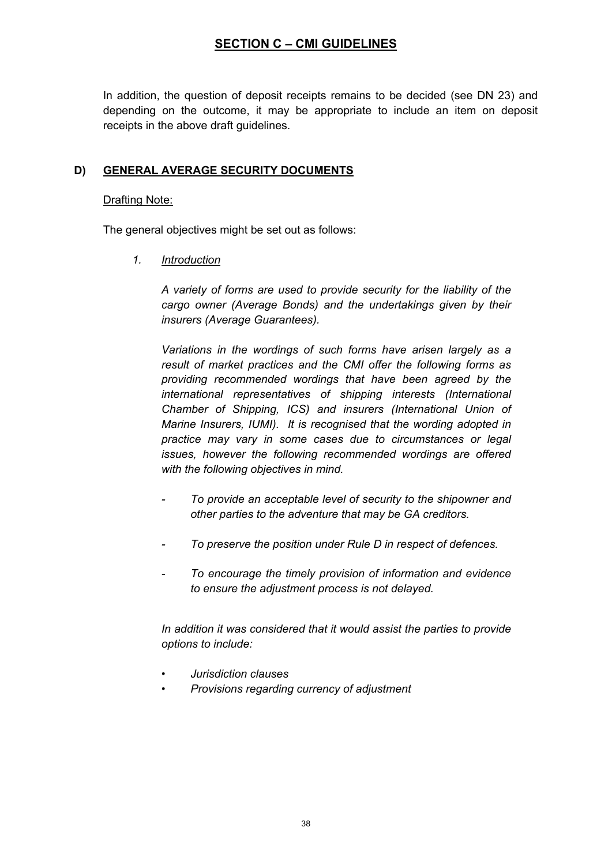In addition, the question of deposit receipts remains to be decided (see DN 23) and depending on the outcome, it may be appropriate to include an item on deposit receipts in the above draft guidelines.

### **D) GENERAL AVERAGE SECURITY DOCUMENTS**

### Drafting Note:

The general objectives might be set out as follows:

*1. Introduction*

*A variety of forms are used to provide security for the liability of the cargo owner (Average Bonds) and the undertakings given by their insurers (Average Guarantees).*

*Variations in the wordings of such forms have arisen largely as a result of market practices and the CMI offer the following forms as providing recommended wordings that have been agreed by the international representatives of shipping interests (International Chamber of Shipping, ICS) and insurers (International Union of Marine Insurers, IUMI). It is recognised that the wording adopted in practice may vary in some cases due to circumstances or legal issues, however the following recommended wordings are offered with the following objectives in mind.*

- *- To provide an acceptable level of security to the shipowner and other parties to the adventure that may be GA creditors.*
- *- To preserve the position under Rule D in respect of defences.*
- *- To encourage the timely provision of information and evidence to ensure the adjustment process is not delayed.*

*In addition it was considered that it would assist the parties to provide options to include:*

- *• Jurisdiction clauses*
- *• Provisions regarding currency of adjustment*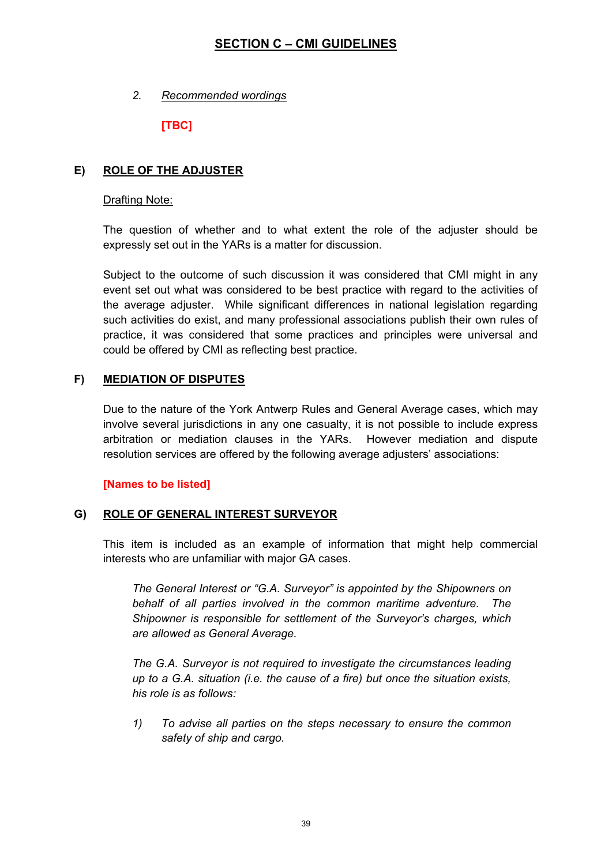*2. Recommended wordings*

### **[TBC]**

## **E) ROLE OF THE ADJUSTER**

#### Drafting Note:

The question of whether and to what extent the role of the adjuster should be expressly set out in the YARs is a matter for discussion.

Subject to the outcome of such discussion it was considered that CMI might in any event set out what was considered to be best practice with regard to the activities of the average adjuster. While significant differences in national legislation regarding such activities do exist, and many professional associations publish their own rules of practice, it was considered that some practices and principles were universal and could be offered by CMI as reflecting best practice.

### **F) MEDIATION OF DISPUTES**

Due to the nature of the York Antwerp Rules and General Average cases, which may involve several jurisdictions in any one casualty, it is not possible to include express arbitration or mediation clauses in the YARs. However mediation and dispute resolution services are offered by the following average adjusters' associations:

### **[Names to be listed]**

### **G) ROLE OF GENERAL INTEREST SURVEYOR**

This item is included as an example of information that might help commercial interests who are unfamiliar with major GA cases.

*The General Interest or "G.A. Surveyor" is appointed by the Shipowners on behalf of all parties involved in the common maritime adventure. The Shipowner is responsible for settlement of the Surveyor's charges, which are allowed as General Average.*

*The G.A. Surveyor is not required to investigate the circumstances leading up to a G.A. situation (i.e. the cause of a fire) but once the situation exists, his role is as follows:*

*1) To advise all parties on the steps necessary to ensure the common safety of ship and cargo.*